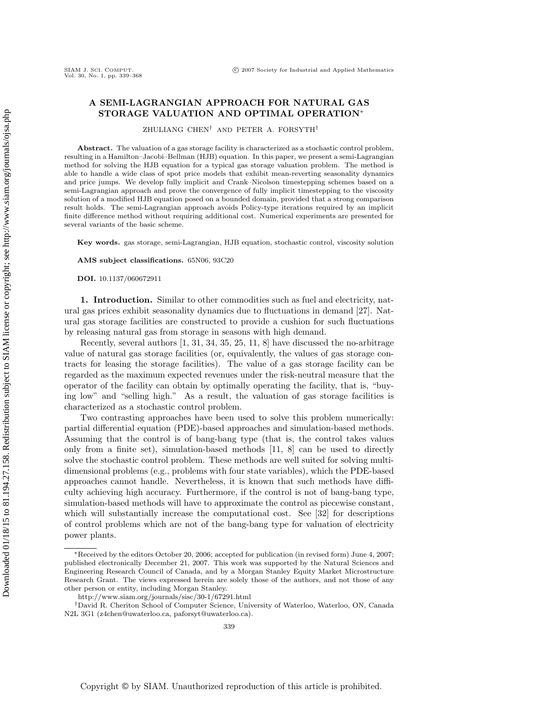# **A SEMI-LAGRANGIAN APPROACH FOR NATURAL GAS STORAGE VALUATION AND OPTIMAL OPERATION**∗

ZHULIANG CHEN† AND PETER A. FORSYTH†

**Abstract.** The valuation of a gas storage facility is characterized as a stochastic control problem, resulting in a Hamilton–Jacobi–Bellman (HJB) equation. In this paper, we present a semi-Lagrangian method for solving the HJB equation for a typical gas storage valuation problem. The method is able to handle a wide class of spot price models that exhibit mean-reverting seasonality dynamics and price jumps. We develop fully implicit and Crank–Nicolson timestepping schemes based on a semi-Lagrangian approach and prove the convergence of fully implicit timestepping to the viscosity solution of a modified HJB equation posed on a bounded domain, provided that a strong comparison result holds. The semi-Lagrangian approach avoids Policy-type iterations required by an implicit finite difference method without requiring additional cost. Numerical experiments are presented for several variants of the basic scheme.

**Key words.** gas storage, semi-Lagrangian, HJB equation, stochastic control, viscosity solution

#### **AMS subject classifications.** 65N06, 93C20

**DOI.** 10.1137/060672911

**1. Introduction.** Similar to other commodities such as fuel and electricity, natural gas prices exhibit seasonality dynamics due to fluctuations in demand [27]. Natural gas storage facilities are constructed to provide a cushion for such fluctuations by releasing natural gas from storage in seasons with high demand.

Recently, several authors [1, 31, 34, 35, 25, 11, 8] have discussed the no-arbitrage value of natural gas storage facilities (or, equivalently, the values of gas storage contracts for leasing the storage facilities). The value of a gas storage facility can be regarded as the maximum expected revenues under the risk-neutral measure that the operator of the facility can obtain by optimally operating the facility, that is, "buying low" and "selling high." As a result, the valuation of gas storage facilities is characterized as a stochastic control problem.

Two contrasting approaches have been used to solve this problem numerically: partial differential equation (PDE)-based approaches and simulation-based methods. Assuming that the control is of bang-bang type (that is, the control takes values only from a finite set), simulation-based methods [11, 8] can be used to directly solve the stochastic control problem. These methods are well suited for solving multidimensional problems (e.g., problems with four state variables), which the PDE-based approaches cannot handle. Nevertheless, it is known that such methods have difficulty achieving high accuracy. Furthermore, if the control is not of bang-bang type, simulation-based methods will have to approximate the control as piecewise constant, which will substantially increase the computational cost. See [32] for descriptions of control problems which are not of the bang-bang type for valuation of electricity power plants.

<sup>∗</sup>Received by the editors October 20, 2006; accepted for publication (in revised form) June 4, 2007; published electronically December 21, 2007. This work was supported by the Natural Sciences and Engineering Research Council of Canada, and by a Morgan Stanley Equity Market Microstructure Research Grant. The views expressed herein are solely those of the authors, and not those of any other person or entity, including Morgan Stanley.

http://www.siam.org/journals/sisc/30-1/67291.html

<sup>†</sup>David R. Cheriton School of Computer Science, University of Waterloo, Waterloo, ON, Canada N2L 3G1 (z4chen@uwaterloo.ca, paforsyt@uwaterloo.ca).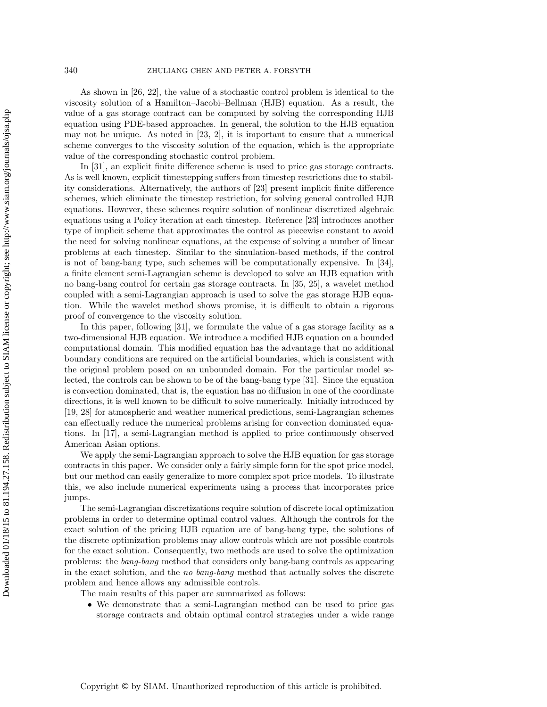As shown in [26, 22], the value of a stochastic control problem is identical to the viscosity solution of a Hamilton–Jacobi–Bellman (HJB) equation. As a result, the value of a gas storage contract can be computed by solving the corresponding HJB equation using PDE-based approaches. In general, the solution to the HJB equation may not be unique. As noted in  $[23, 2]$ , it is important to ensure that a numerical scheme converges to the viscosity solution of the equation, which is the appropriate value of the corresponding stochastic control problem.

In [31], an explicit finite difference scheme is used to price gas storage contracts. As is well known, explicit timestepping suffers from timestep restrictions due to stability considerations. Alternatively, the authors of [23] present implicit finite difference schemes, which eliminate the timestep restriction, for solving general controlled HJB equations. However, these schemes require solution of nonlinear discretized algebraic equations using a Policy iteration at each timestep. Reference [23] introduces another type of implicit scheme that approximates the control as piecewise constant to avoid the need for solving nonlinear equations, at the expense of solving a number of linear problems at each timestep. Similar to the simulation-based methods, if the control is not of bang-bang type, such schemes will be computationally expensive. In [34], a finite element semi-Lagrangian scheme is developed to solve an HJB equation with no bang-bang control for certain gas storage contracts. In [35, 25], a wavelet method coupled with a semi-Lagrangian approach is used to solve the gas storage HJB equation. While the wavelet method shows promise, it is difficult to obtain a rigorous proof of convergence to the viscosity solution.

In this paper, following [31], we formulate the value of a gas storage facility as a two-dimensional HJB equation. We introduce a modified HJB equation on a bounded computational domain. This modified equation has the advantage that no additional boundary conditions are required on the artificial boundaries, which is consistent with the original problem posed on an unbounded domain. For the particular model selected, the controls can be shown to be of the bang-bang type [31]. Since the equation is convection dominated, that is, the equation has no diffusion in one of the coordinate directions, it is well known to be difficult to solve numerically. Initially introduced by [19, 28] for atmospheric and weather numerical predictions, semi-Lagrangian schemes can effectually reduce the numerical problems arising for convection dominated equations. In [17], a semi-Lagrangian method is applied to price continuously observed American Asian options.

We apply the semi-Lagrangian approach to solve the HJB equation for gas storage contracts in this paper. We consider only a fairly simple form for the spot price model, but our method can easily generalize to more complex spot price models. To illustrate this, we also include numerical experiments using a process that incorporates price jumps.

The semi-Lagrangian discretizations require solution of discrete local optimization problems in order to determine optimal control values. Although the controls for the exact solution of the pricing HJB equation are of bang-bang type, the solutions of the discrete optimization problems may allow controls which are not possible controls for the exact solution. Consequently, two methods are used to solve the optimization problems: the bang-bang method that considers only bang-bang controls as appearing in the exact solution, and the no bang-bang method that actually solves the discrete problem and hence allows any admissible controls.

The main results of this paper are summarized as follows:

• We demonstrate that a semi-Lagrangian method can be used to price gas storage contracts and obtain optimal control strategies under a wide range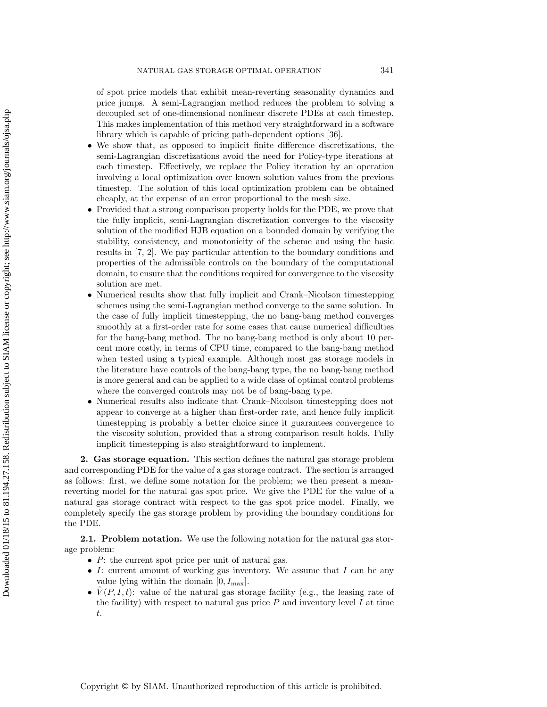of spot price models that exhibit mean-reverting seasonality dynamics and price jumps. A semi-Lagrangian method reduces the problem to solving a decoupled set of one-dimensional nonlinear discrete PDEs at each timestep. This makes implementation of this method very straightforward in a software library which is capable of pricing path-dependent options [36].

- We show that, as opposed to implicit finite difference discretizations, the semi-Lagrangian discretizations avoid the need for Policy-type iterations at each timestep. Effectively, we replace the Policy iteration by an operation involving a local optimization over known solution values from the previous timestep. The solution of this local optimization problem can be obtained cheaply, at the expense of an error proportional to the mesh size.
- Provided that a strong comparison property holds for the PDE, we prove that the fully implicit, semi-Lagrangian discretization converges to the viscosity solution of the modified HJB equation on a bounded domain by verifying the stability, consistency, and monotonicity of the scheme and using the basic results in [7, 2]. We pay particular attention to the boundary conditions and properties of the admissible controls on the boundary of the computational domain, to ensure that the conditions required for convergence to the viscosity solution are met.
- Numerical results show that fully implicit and Crank–Nicolson timestepping schemes using the semi-Lagrangian method converge to the same solution. In the case of fully implicit timestepping, the no bang-bang method converges smoothly at a first-order rate for some cases that cause numerical difficulties for the bang-bang method. The no bang-bang method is only about 10 percent more costly, in terms of CPU time, compared to the bang-bang method when tested using a typical example. Although most gas storage models in the literature have controls of the bang-bang type, the no bang-bang method is more general and can be applied to a wide class of optimal control problems where the converged controls may not be of bang-bang type.
- Numerical results also indicate that Crank–Nicolson timestepping does not appear to converge at a higher than first-order rate, and hence fully implicit timestepping is probably a better choice since it guarantees convergence to the viscosity solution, provided that a strong comparison result holds. Fully implicit timestepping is also straightforward to implement.

**2. Gas storage equation.** This section defines the natural gas storage problem and corresponding PDE for the value of a gas storage contract. The section is arranged as follows: first, we define some notation for the problem; we then present a meanreverting model for the natural gas spot price. We give the PDE for the value of a natural gas storage contract with respect to the gas spot price model. Finally, we completely specify the gas storage problem by providing the boundary conditions for the PDE.

**2.1. Problem notation.** We use the following notation for the natural gas storage problem:

- P: the current spot price per unit of natural gas.
- I: current amount of working gas inventory. We assume that I can be any value lying within the domain  $[0, I_{\text{max}}]$ .
- $V(P, I, t)$ : value of the natural gas storage facility (e.g., the leasing rate of the facility) with respect to natural gas price  $P$  and inventory level  $I$  at time t.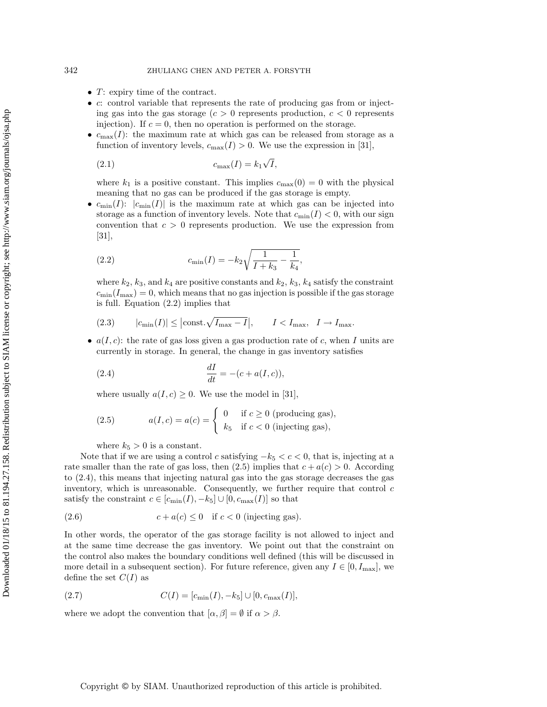- T: expiry time of the contract.
- c: control variable that represents the rate of producing gas from or injecting gas into the gas storage  $(c > 0$  represents production,  $c < 0$  represents injection). If  $c = 0$ , then no operation is performed on the storage.
- $c_{\text{max}}(I)$ : the maximum rate at which gas can be released from storage as a function of inventory levels,  $c_{\text{max}}(I) > 0$ . We use the expression in [31],

$$
(2.1) \t\t\t c_{\max}(I) = k_1 \sqrt{I},
$$

where  $k_1$  is a positive constant. This implies  $c_{\text{max}}(0) = 0$  with the physical meaning that no gas can be produced if the gas storage is empty.

•  $c_{\min}(I)$ :  $|c_{\min}(I)|$  is the maximum rate at which gas can be injected into storage as a function of inventory levels. Note that  $c_{\min}(I) < 0$ , with our sign convention that  $c > 0$  represents production. We use the expression from [31],

(2.2) 
$$
c_{\min}(I) = -k_2 \sqrt{\frac{1}{I+k_3} - \frac{1}{k_4}},
$$

where  $k_2$ ,  $k_3$ , and  $k_4$  are positive constants and  $k_2$ ,  $k_3$ ,  $k_4$  satisfy the constraint  $c_{\min}(I_{\max}) = 0$ , which means that no gas injection is possible if the gas storage is full. Equation (2.2) implies that

$$
(2.3) \t |c_{\min}(I)| \leq |\text{const.}\sqrt{I_{\max} - I}|, \t I < I_{\max}, \t I \to I_{\max}.
$$

•  $a(I, c)$ : the rate of gas loss given a gas production rate of c, when I units are currently in storage. In general, the change in gas inventory satisfies

(2.4) 
$$
\frac{dI}{dt} = -(c + a(I, c)),
$$

where usually  $a(I, c) \geq 0$ . We use the model in [31],

(2.5) 
$$
a(I, c) = a(c) = \begin{cases} 0 & \text{if } c \ge 0 \text{ (producing gas)}, \\ k_5 & \text{if } c < 0 \text{ (injecting gas)}, \end{cases}
$$

where  $k_5 > 0$  is a constant.

Note that if we are using a control c satisfying  $-k_5 < c < 0$ , that is, injecting at a rate smaller than the rate of gas loss, then  $(2.5)$  implies that  $c + a(c) > 0$ . According to (2.4), this means that injecting natural gas into the gas storage decreases the gas inventory, which is unreasonable. Consequently, we further require that control  $c$ satisfy the constraint  $c \in [c_{\min}(I), -k_5] \cup [0, c_{\max}(I)]$  so that

(2.6) 
$$
c + a(c) \le 0 \quad \text{if } c < 0 \text{ (injecting gas)}.
$$

In other words, the operator of the gas storage facility is not allowed to inject and at the same time decrease the gas inventory. We point out that the constraint on the control also makes the boundary conditions well defined (this will be discussed in more detail in a subsequent section). For future reference, given any  $I \in [0, I_{\text{max}}]$ , we define the set  $C(I)$  as

(2.7) 
$$
C(I) = [c_{\min}(I), -k_5] \cup [0, c_{\max}(I)],
$$

where we adopt the convention that  $[\alpha, \beta] = \emptyset$  if  $\alpha > \beta$ .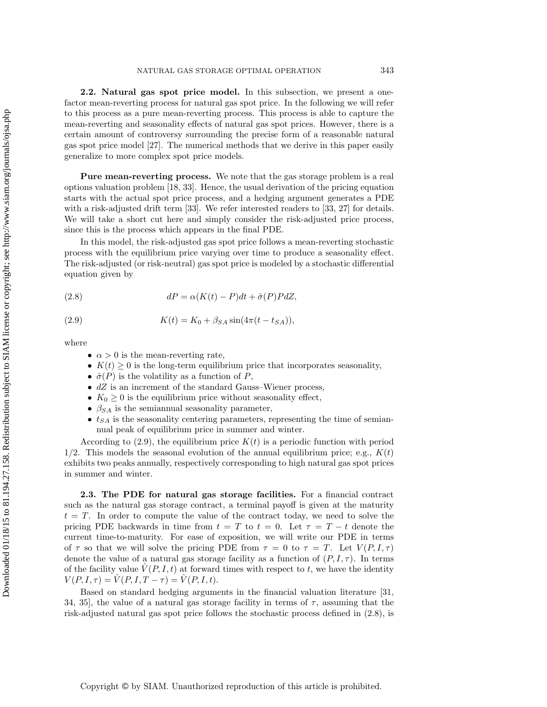**2.2. Natural gas spot price model.** In this subsection, we present a onefactor mean-reverting process for natural gas spot price. In the following we will refer to this process as a pure mean-reverting process. This process is able to capture the mean-reverting and seasonality effects of natural gas spot prices. However, there is a certain amount of controversy surrounding the precise form of a reasonable natural gas spot price model [27]. The numerical methods that we derive in this paper easily generalize to more complex spot price models.

**Pure mean-reverting process.** We note that the gas storage problem is a real options valuation problem [18, 33]. Hence, the usual derivation of the pricing equation starts with the actual spot price process, and a hedging argument generates a PDE with a risk-adjusted drift term [33]. We refer interested readers to [33, 27] for details. We will take a short cut here and simply consider the risk-adjusted price process, since this is the process which appears in the final PDE.

In this model, the risk-adjusted gas spot price follows a mean-reverting stochastic process with the equilibrium price varying over time to produce a seasonality effect. The risk-adjusted (or risk-neutral) gas spot price is modeled by a stochastic differential equation given by

(2.8) 
$$
dP = \alpha (K(t) - P)dt + \hat{\sigma}(P)P dZ,
$$

(2.9) 
$$
K(t) = K_0 + \beta_{SA} \sin(4\pi (t - t_{SA})),
$$

where

- $\alpha > 0$  is the mean-reverting rate,
- $K(t) \geq 0$  is the long-term equilibrium price that incorporates seasonality,
- $\hat{\sigma}(P)$  is the volatility as a function of P,
- $\bullet$   $dZ$  is an increment of the standard Gauss–Wiener process,
- $K_0 \geq 0$  is the equilibrium price without seasonality effect,
- $\beta_{SA}$  is the semiannual seasonality parameter,
- $t_{SA}$  is the seasonality centering parameters, representing the time of semiannual peak of equilibrium price in summer and winter.

According to (2.9), the equilibrium price  $K(t)$  is a periodic function with period 1/2. This models the seasonal evolution of the annual equilibrium price; e.g.,  $K(t)$ exhibits two peaks annually, respectively corresponding to high natural gas spot prices in summer and winter.

**2.3. The PDE for natural gas storage facilities.** For a financial contract such as the natural gas storage contract, a terminal payoff is given at the maturity  $t = T$ . In order to compute the value of the contract today, we need to solve the pricing PDE backwards in time from  $t = T$  to  $t = 0$ . Let  $\tau = T - t$  denote the current time-to-maturity. For ease of exposition, we will write our PDE in terms of  $\tau$  so that we will solve the pricing PDE from  $\tau = 0$  to  $\tau = T$ . Let  $V(P, I, \tau)$ denote the value of a natural gas storage facility as a function of  $(P, I, \tau)$ . In terms of the facility value  $\hat{V}(P, I, t)$  at forward times with respect to t, we have the identity  $V(P, I, \tau) = \hat{V}(P, I, T - \tau) = \hat{V}(P, I, t).$ 

Based on standard hedging arguments in the financial valuation literature [31, 34, 35, the value of a natural gas storage facility in terms of  $\tau$ , assuming that the risk-adjusted natural gas spot price follows the stochastic process defined in (2.8), is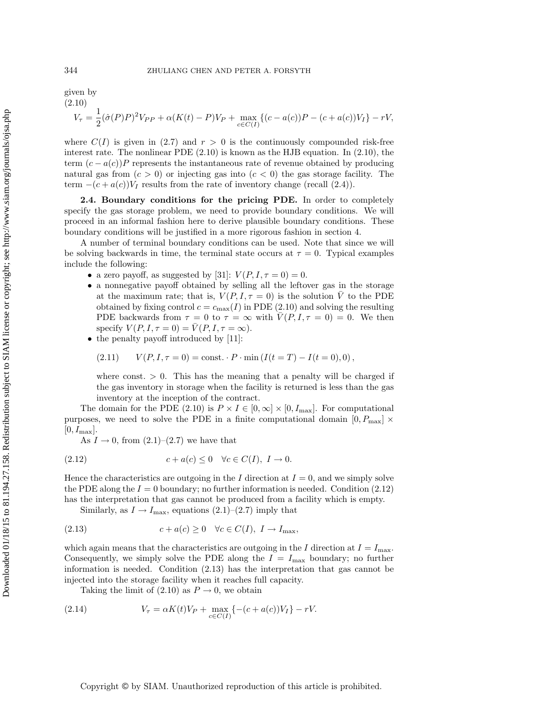given by

(2.10)  
\n
$$
V_{\tau} = \frac{1}{2} (\hat{\sigma}(P)P)^2 V_{PP} + \alpha (K(t) - P) V_P + \max_{c \in C(I)} \{ (c - a(c))P - (c + a(c))V_I \} - rV,
$$

where  $C(I)$  is given in (2.7) and  $r > 0$  is the continuously compounded risk-free interest rate. The nonlinear PDE  $(2.10)$  is known as the HJB equation. In  $(2.10)$ , the term  $(c - a(c))P$  represents the instantaneous rate of revenue obtained by producing natural gas from  $(c > 0)$  or injecting gas into  $(c < 0)$  the gas storage facility. The term  $-(c + a(c))V_I$  results from the rate of inventory change (recall (2.4)).

**2.4. Boundary conditions for the pricing PDE.** In order to completely specify the gas storage problem, we need to provide boundary conditions. We will proceed in an informal fashion here to derive plausible boundary conditions. These boundary conditions will be justified in a more rigorous fashion in section 4.

A number of terminal boundary conditions can be used. Note that since we will be solving backwards in time, the terminal state occurs at  $\tau = 0$ . Typical examples include the following:

- a zero payoff, as suggested by [31]:  $V(P, I, \tau = 0) = 0$ .
- a nonnegative payoff obtained by selling all the leftover gas in the storage at the maximum rate; that is,  $V(P, I, \tau = 0)$  is the solution V to the PDE obtained by fixing control  $c = c_{\text{max}}(I)$  in PDE (2.10) and solving the resulting PDE backwards from  $\tau = 0$  to  $\tau = \infty$  with  $\bar{V}(P, I, \tau = 0) = 0$ . We then specify  $V(P, I, \tau = 0) = \overline{V}(P, I, \tau = \infty)$ .
- the penalty payoff introduced by [11]:

$$
(2.11) \tV(P, I, \tau = 0) = \text{const.} \cdot P \cdot \min\left(I(t = T) - I(t = 0), 0\right),
$$

where const.  $> 0$ . This has the meaning that a penalty will be charged if the gas inventory in storage when the facility is returned is less than the gas inventory at the inception of the contract.

The domain for the PDE (2.10) is  $P \times I \in [0,\infty] \times [0,I_{\text{max}}]$ . For computational purposes, we need to solve the PDE in a finite computational domain  $[0, P_{\text{max}}] \times$  $[0, I_{\text{max}}].$ 

As  $I \rightarrow 0$ , from  $(2.1)$ – $(2.7)$  we have that

$$
(2.12) \t\t c + a(c) \le 0 \quad \forall c \in C(I), \ I \to 0.
$$

Hence the characteristics are outgoing in the I direction at  $I = 0$ , and we simply solve the PDE along the  $I = 0$  boundary; no further information is needed. Condition (2.12) has the interpretation that gas cannot be produced from a facility which is empty.

Similarly, as  $I \rightarrow I_{\text{max}}$ , equations (2.1)–(2.7) imply that

$$
(2.13) \t\t c + a(c) \ge 0 \quad \forall c \in C(I), \ I \to I_{\text{max}},
$$

which again means that the characteristics are outgoing in the I direction at  $I = I_{\text{max}}$ . Consequently, we simply solve the PDE along the  $I = I_{\text{max}}$  boundary; no further information is needed. Condition (2.13) has the interpretation that gas cannot be injected into the storage facility when it reaches full capacity.

Taking the limit of  $(2.10)$  as  $P \rightarrow 0$ , we obtain

(2.14) 
$$
V_{\tau} = \alpha K(t) V_P + \max_{c \in C(I)} \{ -(c + a(c)) V_I \} - rV.
$$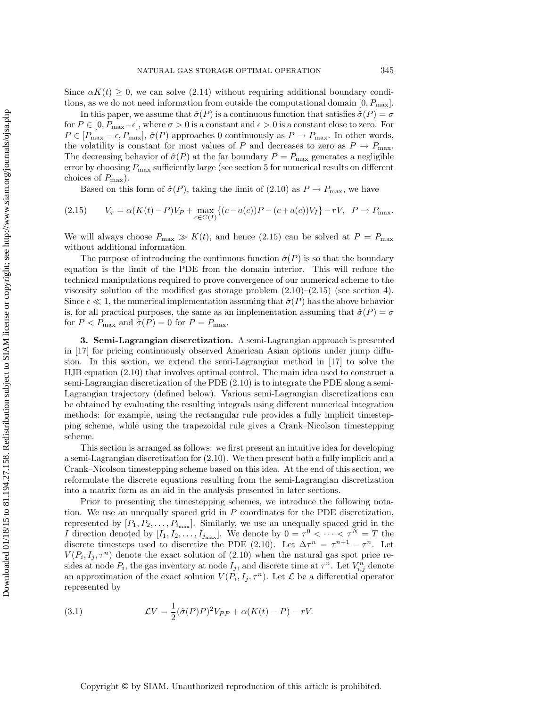Since  $\alpha K(t) \geq 0$ , we can solve (2.14) without requiring additional boundary conditions, as we do not need information from outside the computational domain  $[0, P_{\text{max}}]$ .

In this paper, we assume that  $\hat{\sigma}(P)$  is a continuous function that satisfies  $\hat{\sigma}(P) = \sigma$ for  $P \in [0, P_{\text{max}}-\epsilon]$ , where  $\sigma > 0$  is a constant and  $\epsilon > 0$  is a constant close to zero. For  $P \in [P_{\text{max}} - \epsilon, P_{\text{max}}], \hat{\sigma}(P)$  approaches 0 continuously as  $P \to P_{\text{max}}$ . In other words, the volatility is constant for most values of P and decreases to zero as  $P \to P_{\text{max}}$ . The decreasing behavior of  $\hat{\sigma}(P)$  at the far boundary  $P = P_{\text{max}}$  generates a negligible error by choosing  $P_{\text{max}}$  sufficiently large (see section 5 for numerical results on different choices of  $P_{\text{max}}$ ).

Based on this form of  $\hat{\sigma}(P)$ , taking the limit of (2.10) as  $P \to P_{\text{max}}$ , we have

(2.15) 
$$
V_{\tau} = \alpha (K(t) - P) V_P + \max_{c \in C(I)} \{ (c - a(c))P - (c + a(c))V_I \} - rV, \quad P \to P_{\text{max}}.
$$

We will always choose  $P_{\text{max}} \gg K(t)$ , and hence (2.15) can be solved at  $P = P_{\text{max}}$ without additional information.

The purpose of introducing the continuous function  $\hat{\sigma}(P)$  is so that the boundary equation is the limit of the PDE from the domain interior. This will reduce the technical manipulations required to prove convergence of our numerical scheme to the viscosity solution of the modified gas storage problem  $(2.10)$ – $(2.15)$  (see section 4). Since  $\epsilon \ll 1$ , the numerical implementation assuming that  $\hat{\sigma}(P)$  has the above behavior is, for all practical purposes, the same as an implementation assuming that  $\hat{\sigma}(P) = \sigma$ for  $P < P_{\text{max}}$  and  $\hat{\sigma}(P) = 0$  for  $P = P_{\text{max}}$ .

**3. Semi-Lagrangian discretization.** A semi-Lagrangian approach is presented in [17] for pricing continuously observed American Asian options under jump diffusion. In this section, we extend the semi-Lagrangian method in [17] to solve the HJB equation (2.10) that involves optimal control. The main idea used to construct a semi-Lagrangian discretization of the PDE (2.10) is to integrate the PDE along a semi-Lagrangian trajectory (defined below). Various semi-Lagrangian discretizations can be obtained by evaluating the resulting integrals using different numerical integration methods: for example, using the rectangular rule provides a fully implicit timestepping scheme, while using the trapezoidal rule gives a Crank–Nicolson timestepping scheme.

This section is arranged as follows: we first present an intuitive idea for developing a semi-Lagrangian discretization for (2.10). We then present both a fully implicit and a Crank–Nicolson timestepping scheme based on this idea. At the end of this section, we reformulate the discrete equations resulting from the semi-Lagrangian discretization into a matrix form as an aid in the analysis presented in later sections.

Prior to presenting the timestepping schemes, we introduce the following notation. We use an unequally spaced grid in P coordinates for the PDE discretization, represented by  $[P_1, P_2, \ldots, P_{i_{\text{max}}}].$  Similarly, we use an unequally spaced grid in the I direction denoted by  $[I_1, I_2, \ldots, I_{j_{\text{max}}}].$  We denote by  $0 = \tau^0 < \cdots < \tau^N = T$  the discrete timesteps used to discretize the PDE (2.10). Let  $\Delta \tau^n = \tau^{n+1} - \tau^n$ . Let  $V(P_i, I_j, \tau^n)$  denote the exact solution of (2.10) when the natural gas spot price resides at node  $P_i$ , the gas inventory at node  $I_j$ , and discrete time at  $\tau^n$ . Let  $V_{i,j}^n$  denote an approximation of the exact solution  $V(P_i, I_j, \tau^n)$ . Let  $\mathcal L$  be a differential operator represented by

(3.1) 
$$
\mathcal{L}V = \frac{1}{2}(\hat{\sigma}(P)P)^2 V_{PP} + \alpha(K(t) - P) - rV.
$$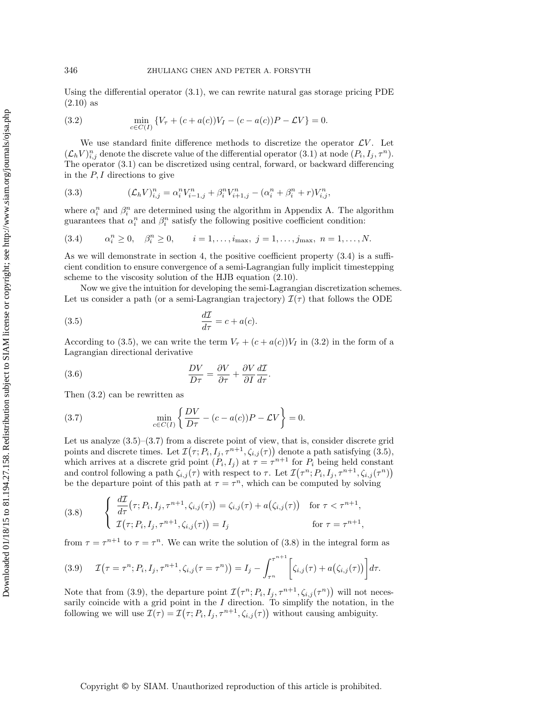Using the differential operator (3.1), we can rewrite natural gas storage pricing PDE  $(2.10)$  as

(3.2) 
$$
\min_{c \in C(I)} \{ V_{\tau} + (c + a(c))V_I - (c - a(c))P - LV \} = 0.
$$

We use standard finite difference methods to discretize the operator  $\mathcal{L}V$ . Let  $(\mathcal{L}_h V)^n_{i,j}$  denote the discrete value of the differential operator  $(3.1)$  at node  $(P_i, I_j, \tau^n)$ . The operator (3.1) can be discretized using central, forward, or backward differencing in the  $P, I$  directions to give

(3.3) 
$$
(\mathcal{L}_h V)^n_{i,j} = \alpha_i^n V^n_{i-1,j} + \beta_i^n V^n_{i+1,j} - (\alpha_i^n + \beta_i^n + r) V^n_{i,j},
$$

where  $\alpha_i^n$  and  $\beta_i^n$  are determined using the algorithm in Appendix A. The algorithm guarantees that  $\alpha_i^n$  and  $\beta_i^n$  satisfy the following positive coefficient condition:

(3.4) 
$$
\alpha_i^n \ge 0
$$
,  $\beta_i^n \ge 0$ ,  $i = 1, ..., i_{\text{max}}$ ,  $j = 1, ..., j_{\text{max}}$ ,  $n = 1, ..., N$ .

As we will demonstrate in section 4, the positive coefficient property (3.4) is a sufficient condition to ensure convergence of a semi-Lagrangian fully implicit timestepping scheme to the viscosity solution of the HJB equation (2.10).

Now we give the intuition for developing the semi-Lagrangian discretization schemes. Let us consider a path (or a semi-Lagrangian trajectory)  $\mathcal{I}(\tau)$  that follows the ODE

(3.5) 
$$
\frac{d\mathcal{I}}{d\tau} = c + a(c).
$$

According to (3.5), we can write the term  $V_\tau + (c + a(c))V_I$  in (3.2) in the form of a Lagrangian directional derivative

(3.6) 
$$
\frac{DV}{D\tau} = \frac{\partial V}{\partial \tau} + \frac{\partial V}{\partial I} \frac{d\mathcal{I}}{d\tau}.
$$

Then (3.2) can be rewritten as

(3.7) 
$$
\min_{c \in C(I)} \left\{ \frac{DV}{D\tau} - (c - a(c))P - LV \right\} = 0.
$$

Let us analyze  $(3.5)$ – $(3.7)$  from a discrete point of view, that is, consider discrete grid points and discrete times. Let  $\mathcal{I}(\tau; P_i, I_j, \tau^{n+1}, \zeta_{i,j}(\tau))$  denote a path satisfying (3.5), which arrives at a discrete grid point  $(P_i, I_j)$  at  $\tau = \tau^{n+1}$  for  $P_i$  being held constant and control following a path  $\zeta_{i,j}(\tau)$  with respect to  $\tau$ . Let  $\mathcal{I}(\tau^{n}; P_i, I_j, \tau^{n+1}, \zeta_{i,j}(\tau^n))$ be the departure point of this path at  $\tau = \tau^n$ , which can be computed by solving

(3.8) 
$$
\begin{cases} \frac{d\mathcal{I}}{d\tau}(\tau; P_i, I_j, \tau^{n+1}, \zeta_{i,j}(\tau)) = \zeta_{i,j}(\tau) + a(\zeta_{i,j}(\tau)) & \text{for } \tau < \tau^{n+1}, \\ \mathcal{I}(\tau; P_i, I_j, \tau^{n+1}, \zeta_{i,j}(\tau)) = I_j & \text{for } \tau = \tau^{n+1}, \end{cases}
$$

from  $\tau = \tau^{n+1}$  to  $\tau = \tau^n$ . We can write the solution of (3.8) in the integral form as

$$
(3.9) \quad \mathcal{I}(\tau = \tau^n; P_i, I_j, \tau^{n+1}, \zeta_{i,j}(\tau = \tau^n)) = I_j - \int_{\tau^n}^{\tau^{n+1}} \left[ \zeta_{i,j}(\tau) + a(\zeta_{i,j}(\tau)) \right] d\tau.
$$

Note that from (3.9), the departure point  $\mathcal{I}(\tau^n; P_i, I_j, \tau^{n+1}, \zeta_{i,j}(\tau^n))$  will not necessarily coincide with a grid point in the  $I$  direction. To simplify the notation, in the following we will use  $\mathcal{I}(\tau) = \mathcal{I}(\tau; P_i, I_j, \tau^{n+1}, \zeta_{i,j}(\tau))$  without causing ambiguity.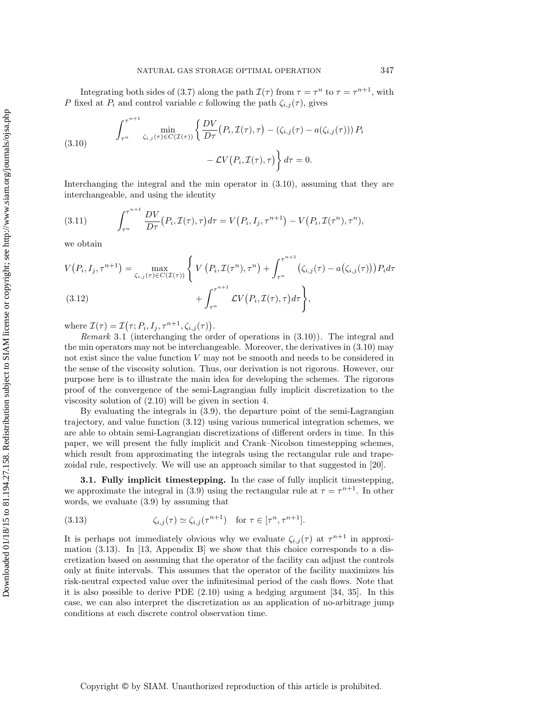Integrating both sides of (3.7) along the path  $\mathcal{I}(\tau)$  from  $\tau = \tau^n$  to  $\tau = \tau^{n+1}$ , with P fixed at  $P_i$  and control variable c following the path  $\zeta_{i,j}(\tau)$ , gives

(3.10) 
$$
\int_{\tau^n}^{\tau^{n+1}} \min_{\zeta_{i,j}(\tau) \in C(\mathcal{I}(\tau))} \left\{ \frac{DV}{D\tau} (P_i, \mathcal{I}(\tau), \tau) - (\zeta_{i,j}(\tau) - a(\zeta_{i,j}(\tau))) P_i - \mathcal{L}V(P_i, \mathcal{I}(\tau), \tau) \right\} d\tau = 0.
$$

Interchanging the integral and the min operator in (3.10), assuming that they are interchangeable, and using the identity

(3.11) 
$$
\int_{\tau^n}^{\tau^{n+1}} \frac{DV}{D\tau}(P_i, \mathcal{I}(\tau), \tau) d\tau = V(P_i, I_j, \tau^{n+1}) - V(P_i, \mathcal{I}(\tau^n), \tau^n),
$$

we obtain

$$
V(P_i, I_j, \tau^{n+1}) = \max_{\zeta_{i,j}(\tau) \in C(\mathcal{I}(\tau))} \left\{ V\left(P_i, \mathcal{I}(\tau^n), \tau^n\right) + \int_{\tau^n}^{\tau^{n+1}} (\zeta_{i,j}(\tau) - a(\zeta_{i,j}(\tau))) P_i d\tau \right. \\ \left. + \int_{\tau^n}^{\tau^{n+1}} \mathcal{L}V\left(P_i, \mathcal{I}(\tau), \tau\right) d\tau \right\},
$$

where  $\mathcal{I}(\tau) = \mathcal{I}(\tau; P_i, I_j, \tau^{n+1}, \zeta_{i,j}(\tau)).$ 

Remark 3.1 (interchanging the order of operations in (3.10)). The integral and the min operators may not be interchangeable. Moreover, the derivatives in (3.10) may not exist since the value function V may not be smooth and needs to be considered in the sense of the viscosity solution. Thus, our derivation is not rigorous. However, our purpose here is to illustrate the main idea for developing the schemes. The rigorous proof of the convergence of the semi-Lagrangian fully implicit discretization to the viscosity solution of (2.10) will be given in section 4.

By evaluating the integrals in (3.9), the departure point of the semi-Lagrangian trajectory, and value function (3.12) using various numerical integration schemes, we are able to obtain semi-Lagrangian discretizations of different orders in time. In this paper, we will present the fully implicit and Crank–Nicolson timestepping schemes, which result from approximating the integrals using the rectangular rule and trapezoidal rule, respectively. We will use an approach similar to that suggested in [20].

**3.1. Fully implicit timestepping.** In the case of fully implicit timestepping, we approximate the integral in (3.9) using the rectangular rule at  $\tau = \tau^{n+1}$ . In other words, we evaluate (3.9) by assuming that

(3.13) 
$$
\zeta_{i,j}(\tau) \simeq \zeta_{i,j}(\tau^{n+1}) \quad \text{for } \tau \in [\tau^n, \tau^{n+1}].
$$

It is perhaps not immediately obvious why we evaluate  $\zeta_{i,j}(\tau)$  at  $\tau^{n+1}$  in approximation  $(3.13)$ . In [13, Appendix B] we show that this choice corresponds to a discretization based on assuming that the operator of the facility can adjust the controls only at finite intervals. This assumes that the operator of the facility maximizes his risk-neutral expected value over the infinitesimal period of the cash flows. Note that it is also possible to derive PDE (2.10) using a hedging argument [34, 35]. In this case, we can also interpret the discretization as an application of no-arbitrage jump conditions at each discrete control observation time.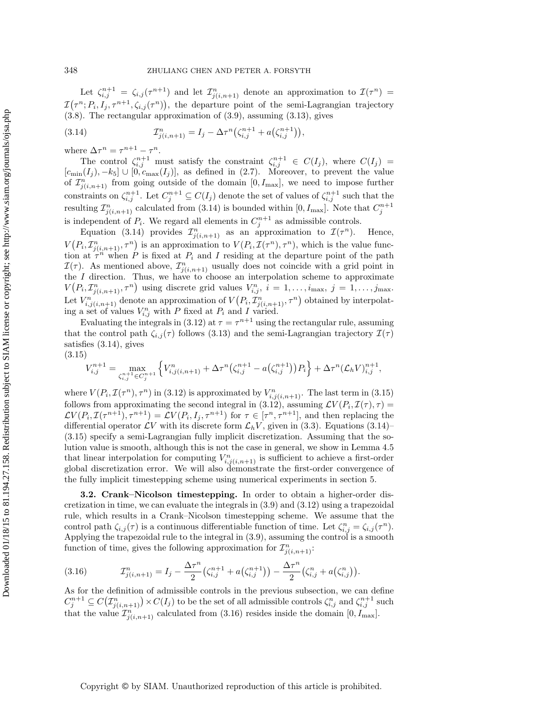Let  $\zeta_{i,j}^{n+1} = \zeta_{i,j}(\tau^{n+1})$  and let  $\mathcal{I}_{j(i,n+1)}^n$  denote an approximation to  $\mathcal{I}(\tau^n) =$  $\mathcal{I}(\tau^n; P_i, I_j, \tau^{n+1}, \zeta_{i,j}(\tau^n))$ , the departure point of the semi-Lagrangian trajectory (3.8). The rectangular approximation of (3.9), assuming (3.13), gives

(3.14) 
$$
\mathcal{I}_{j(i,n+1)}^n = I_j - \Delta \tau^n \left( \zeta_{i,j}^{n+1} + a \left( \zeta_{i,j}^{n+1} \right) \right),
$$

where  $\Delta \tau^n = \tau^{n+1} - \tau^n$ .

The control  $\zeta_{i,j}^{n+1}$  must satisfy the constraint  $\zeta_{i,j}^{n+1} \in C(I_j)$ , where  $C(I_j)$  =  $[c_{\min}(I_i), -k_5] \cup [0, c_{\max}(I_i)],$  as defined in (2.7). Moreover, to prevent the value of  $\mathcal{I}_{j(i,n+1)}^n$  from going outside of the domain  $[0, I_{\text{max}}]$ , we need to impose further constraints on  $\zeta_{i,j}^{n+1}$ . Let  $C_j^{n+1} \subseteq C(I_j)$  denote the set of values of  $\zeta_{i,j}^{n+1}$  such that the resulting  $\mathcal{I}_{j(i,n+1)}^n$  calculated from (3.14) is bounded within [0,  $I_{\text{max}}$ ]. Note that  $C_j^{n+1}$ is independent of  $P_i$ . We regard all elements in  $C_j^{n+1}$  as admissible controls.

Equation (3.14) provides  $\mathcal{I}_{j(i,n+1)}^n$  as an approximation to  $\mathcal{I}(\tau^n)$ . Hence,  $V(P_i, \mathcal{I}_{j(i,n+1)}^n, \tau^n)$  is an approximation to  $V(P_i, \mathcal{I}(\tau^n), \tau^n)$ , which is the value function at  $\tau^n$  when P is fixed at  $P_i$  and I residing at the departure point of the path  $\mathcal{I}(\tau)$ . As mentioned above,  $\mathcal{I}_{j(i,n+1)}^n$  usually does not coincide with a grid point in the  $I$  direction. Thus, we have to choose an interpolation scheme to approximate  $V(P_i, \mathcal{I}_{j(i,n+1)}^n, \tau^n)$  using discrete grid values  $V_{i,j}^n$ ,  $i = 1, \ldots, i_{\text{max}}, j = 1, \ldots, j_{\text{max}}$ . Let  $V_{i,j(i,n+1)}^n$  denote an approximation of  $V(P_i, \mathcal{I}_{j(i,n+1)}^n, \tau^n)$  obtained by interpolating a set of values  $V_{i,j}^n$  with P fixed at  $P_i$  and I varied.

Evaluating the integrals in (3.12) at  $\tau = \tau^{n+1}$  using the rectangular rule, assuming that the control path  $\zeta_{i,j}(\tau)$  follows (3.13) and the semi-Lagrangian trajectory  $\mathcal{I}(\tau)$ satisfies (3.14), gives (3.15)

$$
V_{i,j}^{n+1} = \max_{\zeta_{i,j}^{n+1} \in C_j^{n+1}} \left\{ V_{i,j(i,n+1)}^n + \Delta \tau^n \left( \zeta_{i,j}^{n+1} - a \left( \zeta_{i,j}^{n+1} \right) \right) P_i \right\} + \Delta \tau^n (\mathcal{L}_h V)_{i,j}^{n+1},
$$

where  $V(P_i, \mathcal{I}(\tau^n), \tau^n)$  in (3.12) is approximated by  $V_{i,j(i,n+1)}^n$ . The last term in (3.15) follows from approximating the second integral in (3.12), assuming  $\mathcal{L}V(P_i,\mathcal{I}(\tau),\tau) =$  $\mathcal{L}V(P_i,\mathcal{I}(\tau^{n+1}),\tau^{n+1})=\mathcal{L}V(P_i,I_j,\tau^{n+1})$  for  $\tau\in[\tau^n,\tau^{n+1}]$ , and then replacing the differential operator  $\mathcal{L}V$  with its discrete form  $\mathcal{L}_hV$ , given in (3.3). Equations (3.14)– (3.15) specify a semi-Lagrangian fully implicit discretization. Assuming that the solution value is smooth, although this is not the case in general, we show in Lemma 4.5 that linear interpolation for computing  $V_{i,j(i,n+1)}^n$  is sufficient to achieve a first-order global discretization error. We will also demonstrate the first-order convergence of the fully implicit timestepping scheme using numerical experiments in section 5.

**3.2. Crank–Nicolson timestepping.** In order to obtain a higher-order discretization in time, we can evaluate the integrals in (3.9) and (3.12) using a trapezoidal rule, which results in a Crank–Nicolson timestepping scheme. We assume that the control path  $\zeta_{i,j}(\tau)$  is a continuous differentiable function of time. Let  $\zeta_{i,j}^n = \zeta_{i,j}(\tau^n)$ . Applying the trapezoidal rule to the integral in (3.9), assuming the control is a smooth function of time, gives the following approximation for  $\mathcal{I}_{j(i,n+1)}^n$ :

(3.16) 
$$
\mathcal{I}_{j(i,n+1)}^n = I_j - \frac{\Delta \tau^n}{2} \left( \zeta_{i,j}^{n+1} + a \left( \zeta_{i,j}^{n+1} \right) \right) - \frac{\Delta \tau^n}{2} \left( \zeta_{i,j}^n + a \left( \zeta_{i,j}^n \right) \right).
$$

As for the definition of admissible controls in the previous subsection, we can define  $C_j^{n+1} \subseteq C(\mathcal{I}_{j(i,n+1)}^n) \times C(I_j)$  to be the set of all admissible controls  $\zeta_{i,j}^n$  and  $\zeta_{i,j}^{n+1}$  such that the value  $\mathcal{I}_{j(i,n+1)}^n$  calculated from (3.16) resides inside the domain [0,  $I_{\text{max}}$ ].

Copyright © by SIAM. Unauthorized reproduction of this article is prohibited.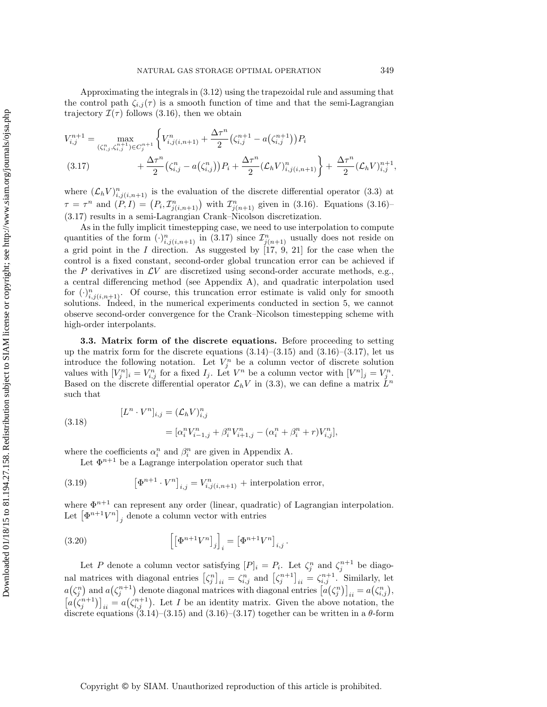Approximating the integrals in (3.12) using the trapezoidal rule and assuming that the control path  $\zeta_{i,j}(\tau)$  is a smooth function of time and that the semi-Lagrangian trajectory  $\mathcal{I}(\tau)$  follows (3.16), then we obtain

$$
V_{i,j}^{n+1} = \max_{(\zeta_{i,j}^n, \zeta_{i,j}^{n+1}) \in C_j^{n+1}} \left\{ V_{i,j(i,n+1)}^n + \frac{\Delta \tau^n}{2} \left( \zeta_{i,j}^{n+1} - a(\zeta_{i,j}^{n+1}) \right) P_i \right\}
$$
  
(3.17) 
$$
+ \frac{\Delta \tau^n}{2} \left( \zeta_{i,j}^n - a(\zeta_{i,j}^n) \right) P_i + \frac{\Delta \tau^n}{2} (\mathcal{L}_h V)_{i,j(i,n+1)}^n + \frac{\Delta \tau^n}{2} (\mathcal{L}_h V)_{i,j}^{n+1},
$$

where  $(\mathcal{L}_h V)^n_{i,j(i,n+1)}$  is the evaluation of the discrete differential operator (3.3) at  $\tau = \tau^n$  and  $(P, I) = (P_i, \mathcal{I}_{j(i,n+1)}^n)$  with  $\mathcal{I}_{j(n+1)}^n$  given in (3.16). Equations (3.16)-(3.17) results in a semi-Lagrangian Crank–Nicolson discretization.

As in the fully implicit timestepping case, we need to use interpolation to compute quantities of the form  $\langle \cdot \rangle_{i,j(i,n+1)}^n$  in (3.17) since  $\mathcal{I}_{j(n+1)}^n$  usually does not reside on a grid point in the  $I$  direction. As suggested by  $[17, 9, 21]$  for the case when the control is a fixed constant, second-order global truncation error can be achieved if the P derivatives in  $\mathcal{L}V$  are discretized using second-order accurate methods, e.g., a central differencing method (see Appendix A), and quadratic interpolation used for  $(\cdot)_{i,j(i,n+1)}^n$ . Of course, this truncation error estimate is valid only for smooth solutions. Indeed, in the numerical experiments conducted in section 5, we cannot observe second-order convergence for the Crank–Nicolson timestepping scheme with high-order interpolants.

**3.3. Matrix form of the discrete equations.** Before proceeding to setting up the matrix form for the discrete equations  $(3.14)$ – $(3.15)$  and  $(3.16)$ – $(3.17)$ , let us introduce the following notation. Let  $V_j^n$  be a column vector of discrete solution values with  $[V_j^n]_i = V_{i,j}^n$  for a fixed  $I_j$ . Let  $V^n$  be a column vector with  $[V^n]_j = V_j^n$ . Based on the discrete differential operator  $\mathcal{L}_h V$  in (3.3), we can define a matrix  $\hat{L}^n$ such that

(3.18) 
$$
[L^n \cdot V^n]_{i,j} = (\mathcal{L}_h V)^n_{i,j} = [\alpha^n_i V^n_{i-1,j} + \beta^n_i V^n_{i+1,j} - (\alpha^n_i + \beta^n_i + r) V^n_{i,j}],
$$

where the coefficients  $\alpha_i^n$  and  $\beta_i^n$  are given in Appendix A.

Let  $\Phi^{n+1}$  be a Lagrange interpolation operator such that

(3.19) 
$$
\left[\Phi^{n+1} \cdot V^n\right]_{i,j} = V^n_{i,j(i,n+1)} + \text{interpolation error},
$$

where  $\Phi^{n+1}$  can represent any order (linear, quadratic) of Lagrangian interpolation. Let  $\left[\Phi^{n+1}V^{n}\right]_j$  denote a column vector with entries

(3.20) 
$$
\left[\left[\Phi^{n+1}V^{n}\right]_{j}\right]_{i} = \left[\Phi^{n+1}V^{n}\right]_{i,j}.
$$

Let P denote a column vector satisfying  $[P]_i = P_i$ . Let  $\zeta_j^n$  and  $\zeta_j^{n+1}$  be diagonal matrices with diagonal entries  $\left[\zeta_j^n\right]_{ii} = \zeta_{i,j}^n$  and  $\left[\zeta_j^{n+1}\right]_{ii} = \zeta_{i,j}^{n+1}$ . Similarly, let  $a(\zeta_j^n)$  and  $a(\zeta_j^{n+1})$  denote diagonal matrices with diagonal entries  $[a(\zeta_j^n)]_{ii} = a(\zeta_{i,j}^n)$ ,  $[a(\zeta_j^{n+1})]_{ii} = a(\zeta_{i,j}^{n+1})$ . Let I be an identity matrix. Given the above notation, the discrete equations  $(3.14)$ – $(3.15)$  and  $(3.16)$ – $(3.17)$  together can be written in a  $\theta$ -form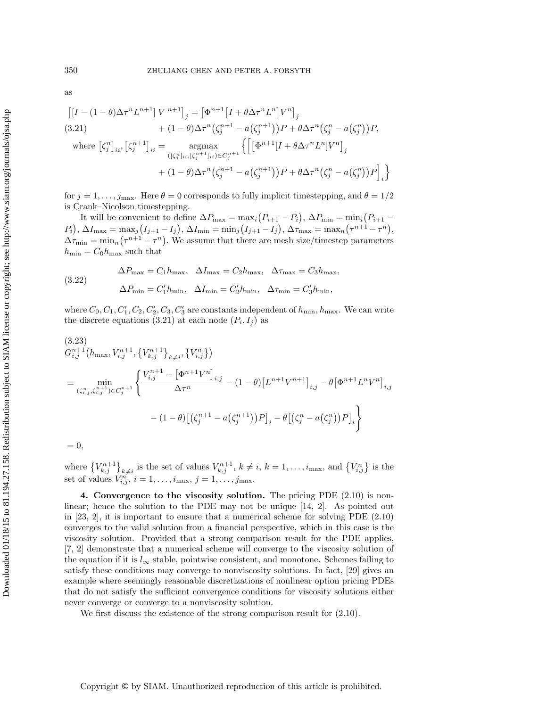$$
\begin{aligned}\n\left[ [I - (1 - \theta)\Delta \tau^n L^{n+1}] V^{n+1} \right]_j &= \left[ \Phi^{n+1} \left[ I + \theta \Delta \tau^n L^n \right] V^n \right]_j \\
&\quad + (1 - \theta)\Delta \tau^n \left( \zeta_j^{n+1} - a \left( \zeta_j^{n+1} \right) \right) P + \theta \Delta \tau^n \left( \zeta_j^n - a \left( \zeta_j^n \right) \right) P, \\
\text{where } \left[ \zeta_j^n \right]_{ii}, \left[ \zeta_j^{n+1} \right]_{ii} &= \underset{\left( [\zeta_j^n]_{ii}, [\zeta_j^{n+1}]_{ii} \right) \in C_j^{n+1}}{\operatorname{argmax}} \left\{ \left[ \left[ \Phi^{n+1} [I + \theta \Delta \tau^n L^n] V^n \right]_j \right. \\
&\quad + (1 - \theta)\Delta \tau^n \left( \zeta_j^{n+1} - a \left( \zeta_j^{n+1} \right) \right) P + \theta \Delta \tau^n \left( \zeta_j^n - a \left( \zeta_j^n \right) \right) P \right]_i \right\}\n\end{aligned}
$$

for  $j = 1, \ldots, j_{\text{max}}$ . Here  $\theta = 0$  corresponds to fully implicit timestepping, and  $\theta = 1/2$ is Crank–Nicolson timestepping.

It will be convenient to define  $\Delta P_{\text{max}} = \max_i (P_{i+1} - P_i), \Delta P_{\text{min}} = \min_i (P_{i+1} - P_i)$  $P_i$ ,  $\Delta I_{\text{max}} = \max_j (I_{j+1} - I_j), \Delta I_{\text{min}} = \min_j (I_{j+1} - I_j), \Delta \tau_{\text{max}} = \max_n (\tau^{n+1} - \tau^n),$  $\Delta \tau_{\min} = \min_n (\tau^{n+1} - \tau^n)$ . We assume that there are mesh size/timestep parameters  $h_{\min} = C_0 h_{\max}$  such that

(3.22) 
$$
\Delta P_{\text{max}} = C_1 h_{\text{max}}, \quad \Delta I_{\text{max}} = C_2 h_{\text{max}}, \quad \Delta \tau_{\text{max}} = C_3 h_{\text{max}},
$$

$$
\Delta P_{\text{min}} = C_1' h_{\text{min}}, \quad \Delta I_{\text{min}} = C_2' h_{\text{min}}, \quad \Delta \tau_{\text{min}} = C_3' h_{\text{min}},
$$

where  $C_0, C_1, C'_1, C_2, C'_2, C_3, C'_3$  are constants independent of  $h_{\min}, h_{\max}$ . We can write the discrete equations (3.21) at each node  $(P_i, I_j)$  as

$$
(3.23)
$$
\n
$$
G_{i,j}^{n+1}(h_{\max}, V_{i,j}^{n+1}, \{V_{k,j}^{n+1}\}_{k\neq i}, \{V_{i,j}^{n}\})
$$
\n
$$
\equiv \min_{(\zeta_{i,j}^n, \zeta_{i,j}^{n+1}) \in C_j^{n+1}} \left\{ \frac{V_{i,j}^{n+1} - \left[\Phi^{n+1}V^n\right]_{i,j}}{\Delta \tau^n} - (1-\theta)\left[L^{n+1}V^{n+1}\right]_{i,j} - \theta\left[\Phi^{n+1}L^nV^n\right]_{i,j}\right\}
$$
\n
$$
- (1-\theta)\left[\left(\zeta_j^{n+1} - a\left(\zeta_j^{n+1}\right)\right)P\right]_i - \theta\left[\left(\zeta_j^n - a\left(\zeta_j^n\right)\right)P\right]_i\right\}
$$

$$
=0,
$$

where  $\{V_{k,j}^{n+1}\}_{k\neq i}$  is the set of values  $V_{k,j}^{n+1}$ ,  $k\neq i$ ,  $k=1,\ldots,i_{\text{max}}$ , and  $\{V_{i,j}^{n}\}$  is the set of values  $V_{i,j}^{n'}$ ,  $i = 1, \ldots, i_{\text{max}}, j = 1, \ldots, j_{\text{max}}$ .

**4. Convergence to the viscosity solution.** The pricing PDE (2.10) is nonlinear; hence the solution to the PDE may not be unique [14, 2]. As pointed out in [23, 2], it is important to ensure that a numerical scheme for solving PDE (2.10) converges to the valid solution from a financial perspective, which in this case is the viscosity solution. Provided that a strong comparison result for the PDE applies, [7, 2] demonstrate that a numerical scheme will converge to the viscosity solution of the equation if it is  $l_{\infty}$  stable, pointwise consistent, and monotone. Schemes failing to satisfy these conditions may converge to nonviscosity solutions. In fact, [29] gives an example where seemingly reasonable discretizations of nonlinear option pricing PDEs that do not satisfy the sufficient convergence conditions for viscosity solutions either never converge or converge to a nonviscosity solution.

We first discuss the existence of the strong comparison result for (2.10).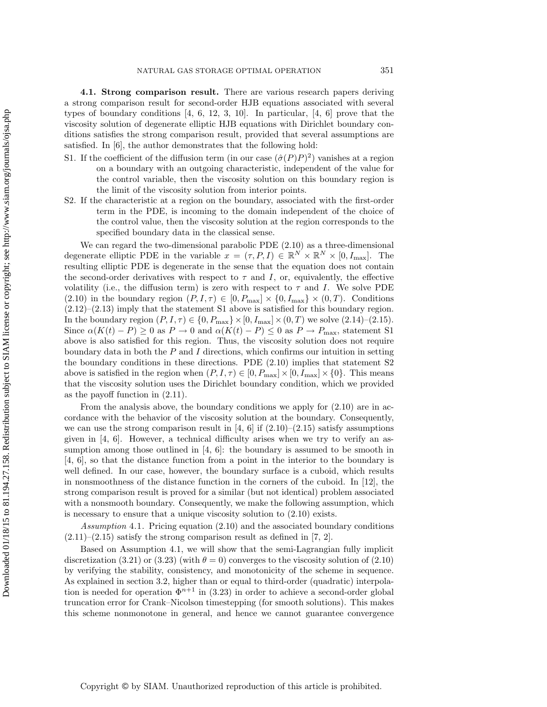**4.1. Strong comparison result.** There are various research papers deriving a strong comparison result for second-order HJB equations associated with several types of boundary conditions  $[4, 6, 12, 3, 10]$ . In particular,  $[4, 6]$  prove that the viscosity solution of degenerate elliptic HJB equations with Dirichlet boundary conditions satisfies the strong comparison result, provided that several assumptions are satisfied. In [6], the author demonstrates that the following hold:

- S1. If the coefficient of the diffusion term (in our case  $(\hat{\sigma}(P)P)^2$ ) vanishes at a region on a boundary with an outgoing characteristic, independent of the value for the control variable, then the viscosity solution on this boundary region is the limit of the viscosity solution from interior points.
- S2. If the characteristic at a region on the boundary, associated with the first-order term in the PDE, is incoming to the domain independent of the choice of the control value, then the viscosity solution at the region corresponds to the specified boundary data in the classical sense.

We can regard the two-dimensional parabolic PDE (2.10) as a three-dimensional degenerate elliptic PDE in the variable  $x = (\tau, P, I) \in \mathbb{R}^{N} \times \mathbb{R}^{N} \times [0, I_{\max}]$ . The resulting elliptic PDE is degenerate in the sense that the equation does not contain the second-order derivatives with respect to  $\tau$  and I, or, equivalently, the effective volatility (i.e., the diffusion term) is zero with respect to  $\tau$  and I. We solve PDE (2.10) in the boundary region  $(P, I, \tau) \in [0, P_{\text{max}}] \times \{0, I_{\text{max}}\} \times (0, T)$ . Conditions  $(2.12)$ – $(2.13)$  imply that the statement S1 above is satisfied for this boundary region. In the boundary region  $(P, I, \tau) \in \{0, P_{\text{max}}\} \times [0, I_{\text{max}}] \times (0, T)$  we solve  $(2.14)$ – $(2.15)$ . Since  $\alpha(K(t) - P) \ge 0$  as  $P \to 0$  and  $\alpha(K(t) - P) \le 0$  as  $P \to P_{\text{max}}$ , statement S1 above is also satisfied for this region. Thus, the viscosity solution does not require boundary data in both the  $P$  and  $I$  directions, which confirms our intuition in setting the boundary conditions in these directions. PDE (2.10) implies that statement S2 above is satisfied in the region when  $(P, I, \tau) \in [0, P_{\text{max}}] \times [0, I_{\text{max}}] \times \{0\}$ . This means that the viscosity solution uses the Dirichlet boundary condition, which we provided as the payoff function in (2.11).

From the analysis above, the boundary conditions we apply for (2.10) are in accordance with the behavior of the viscosity solution at the boundary. Consequently, we can use the strong comparison result in  $[4, 6]$  if  $(2.10)–(2.15)$  satisfy assumptions given in [4, 6]. However, a technical difficulty arises when we try to verify an assumption among those outlined in [4, 6]: the boundary is assumed to be smooth in [4, 6], so that the distance function from a point in the interior to the boundary is well defined. In our case, however, the boundary surface is a cuboid, which results in nonsmoothness of the distance function in the corners of the cuboid. In [12], the strong comparison result is proved for a similar (but not identical) problem associated with a nonsmooth boundary. Consequently, we make the following assumption, which is necessary to ensure that a unique viscosity solution to  $(2.10)$  exists.

Assumption 4.1. Pricing equation (2.10) and the associated boundary conditions  $(2.11)$ – $(2.15)$  satisfy the strong comparison result as defined in [7, 2].

Based on Assumption 4.1, we will show that the semi-Lagrangian fully implicit discretization (3.21) or (3.23) (with  $\theta = 0$ ) converges to the viscosity solution of (2.10) by verifying the stability, consistency, and monotonicity of the scheme in sequence. As explained in section 3.2, higher than or equal to third-order (quadratic) interpolation is needed for operation  $\Phi^{n+1}$  in (3.23) in order to achieve a second-order global truncation error for Crank–Nicolson timestepping (for smooth solutions). This makes this scheme nonmonotone in general, and hence we cannot guarantee convergence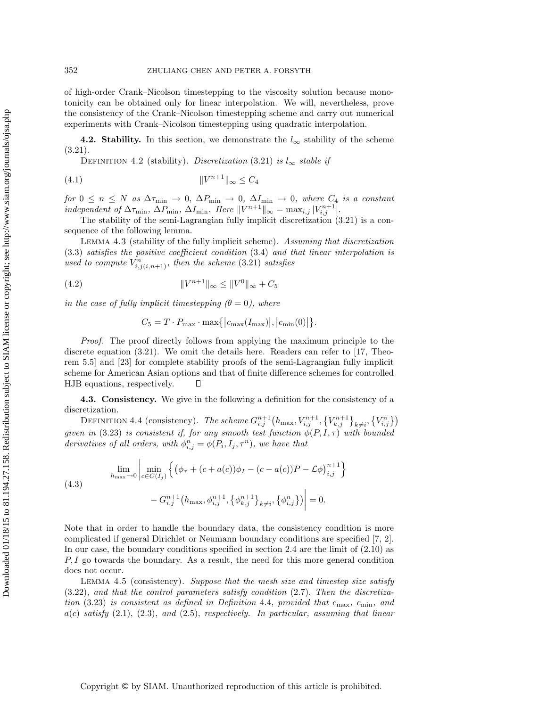of high-order Crank–Nicolson timestepping to the viscosity solution because monotonicity can be obtained only for linear interpolation. We will, nevertheless, prove the consistency of the Crank–Nicolson timestepping scheme and carry out numerical experiments with Crank–Nicolson timestepping using quadratic interpolation.

**4.2. Stability.** In this section, we demonstrate the  $l_{\infty}$  stability of the scheme (3.21).

DEFINITION 4.2 (stability). Discretization (3.21) is  $l_{\infty}$  stable if

<sup>V</sup> <sup>n</sup>+1 (4.1) <sup>∞</sup> <sup>≤</sup> <sup>C</sup><sup>4</sup>

for  $0 \leq n \leq N$  as  $\Delta \tau_{\min} \to 0$ ,  $\Delta P_{\min} \to 0$ ,  $\Delta I_{\min} \to 0$ , where  $C_4$  is a constant independent of  $\Delta \tau_{\min}$ ,  $\Delta P_{\min}$ ,  $\Delta I_{\min}$ . Here  $||V^{n+1}||_{\infty} = \max_{i,j} |V_{i,j}^{n+1}|$ .

The stability of the semi-Lagrangian fully implicit discretization (3.21) is a consequence of the following lemma.

Lemma 4.3 (stability of the fully implicit scheme). Assuming that discretization (3.3) satisfies the positive coefficient condition (3.4) and that linear interpolation is used to compute  $V_{i,j(i,n+1)}^n$ , then the scheme (3.21) satisfies

(4.2) 
$$
||V^{n+1}||_{\infty} \le ||V^0||_{\infty} + C_5
$$

in the case of fully implicit timestepping  $(\theta = 0)$ , where

$$
C_5 = T \cdot P_{\text{max}} \cdot \max\{|c_{\text{max}}(I_{\text{max}})|, |c_{\text{min}}(0)|\}.
$$

Proof. The proof directly follows from applying the maximum principle to the discrete equation (3.21). We omit the details here. Readers can refer to [17, Theorem 5.5] and [23] for complete stability proofs of the semi-Lagrangian fully implicit scheme for American Asian options and that of finite difference schemes for controlled HJB equations, respectively.  $\Box$ 

**4.3. Consistency.** We give in the following a definition for the consistency of a discretization.

DEFINITION 4.4 (consistency). The scheme  $G_{i,j}^{n+1}(h_{\text{max}}, V_{i,j}^{n+1}, \{V_{k,j}^{n+1}\}_{k\neq i}, \{V_{i,j}^{n}\})$ given in (3.23) is consistent if, for any smooth test function  $\phi(P, I, \tau)$  with bounded derivatives of all orders, with  $\phi_{i,j}^n = \phi(P_i, I_j, \tau^n)$ , we have that

(4.3)  

$$
\lim_{h_{\text{max}} \to 0} \left| \min_{c \in C(I_j)} \left\{ \left( \phi_\tau + (c + a(c))\phi_I - (c - a(c))P - \mathcal{L}\phi \right)_{i,j}^{n+1} \right\} - G_{i,j}^{n+1} \left( h_{\text{max}}, \phi_{i,j}^{n+1}, \left\{ \phi_{k,j}^{n+1} \right\}_{k \neq i}, \left\{ \phi_{i,j}^n \right\} \right) \right| = 0.
$$

Note that in order to handle the boundary data, the consistency condition is more complicated if general Dirichlet or Neumann boundary conditions are specified [7, 2]. In our case, the boundary conditions specified in section 2.4 are the limit of (2.10) as P, I go towards the boundary. As a result, the need for this more general condition does not occur.

LEMMA 4.5 (consistency). Suppose that the mesh size and timestep size satisfy (3.22), and that the control parameters satisfy condition (2.7). Then the discretization  $(3.23)$  is consistent as defined in Definition 4.4, provided that  $c_{\text{max}}$ ,  $c_{\text{min}}$ , and  $a(c)$  satisfy  $(2.1)$ ,  $(2.3)$ , and  $(2.5)$ , respectively. In particular, assuming that linear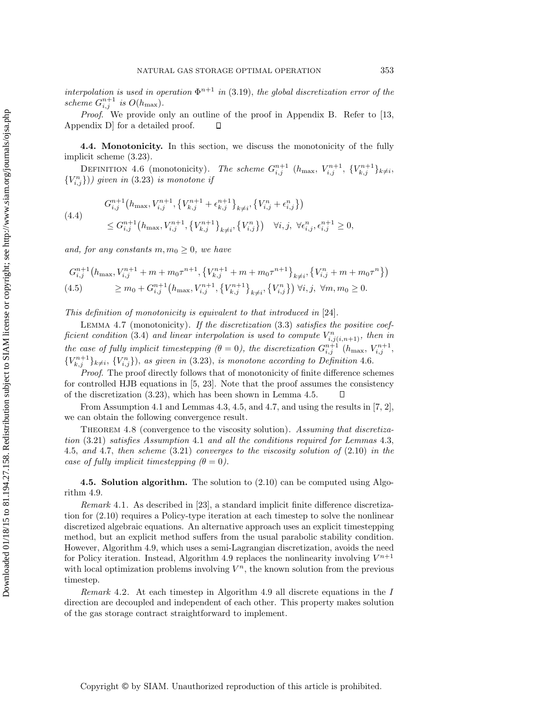interpolation is used in operation  $\Phi^{n+1}$  in (3.19), the global discretization error of the scheme  $G_{i,j}^{n+1}$  is  $O(h_{\text{max}})$ .

Proof. We provide only an outline of the proof in Appendix B. Refer to [13, Appendix D] for a detailed proof.  $\Box$ 

**4.4. Monotonicity.** In this section, we discuss the monotonicity of the fully implicit scheme (3.23).

DEFINITION 4.6 (monotonicity). The scheme  $G_{i,j}^{n+1}$  ( $h_{\text{max}}$ ,  $V_{i,j}^{n+1}$ ,  $\{V_{k,j}^{n+1}\}_{k\neq i}$ ,  ${V_{i,j}^n}$ )) given in (3.23) is monotone if

$$
(4.4) \qquad G_{i,j}^{n+1}\left(h_{\max}, V_{i,j}^{n+1}, \left\{V_{k,j}^{n+1} + \epsilon_{k,j}^{n+1}\right\}_{k \neq i}, \left\{V_{i,j}^{n} + \epsilon_{i,j}^{n}\right\}\right) \\
\leq G_{i,j}^{n+1}\left(h_{\max}, V_{i,j}^{n+1}, \left\{V_{k,j}^{n+1}\right\}_{k \neq i}, \left\{V_{i,j}^{n}\right\}\right) \quad \forall i, j, \forall \epsilon_{i,j}^{n}, \epsilon_{i,j}^{n+1} \geq 0,
$$

and, for any constants  $m, m_0 \geq 0$ , we have

$$
G_{i,j}^{n+1} (h_{\max}, V_{i,j}^{n+1} + m + m_0 \tau^{n+1}, \{V_{k,j}^{n+1} + m + m_0 \tau^{n+1}\}_{k \neq i}, \{V_{i,j}^{n} + m + m_0 \tau^{n}\})
$$
  
(4.5) 
$$
\geq m_0 + G_{i,j}^{n+1} (h_{\max}, V_{i,j}^{n+1}, \{V_{k,j}^{n+1}\}_{k \neq i}, \{V_{i,j}^{n}\}) \forall i, j, \forall m, m_0 \geq 0.
$$

This definition of monotonicity is equivalent to that introduced in [24].

LEMMA 4.7 (monotonicity). If the discretization  $(3.3)$  satisfies the positive coefficient condition (3.4) and linear interpolation is used to compute  $V_{i,j(i,n+1)}^n$ , then in the case of fully implicit timestepping  $(\theta = 0)$ , the discretization  $G_{i,j}^{n+1}$   $(h_{\text{max}}, V_{i,j}^{n+1},$  ${V_{k,j}^{n+1}}_{k\neq i}$ ,  ${V_{i,j}^n}_{s}$ , as given in (3.23), is monotone according to Definition 4.6.

Proof. The proof directly follows that of monotonicity of finite difference schemes for controlled HJB equations in [5, 23]. Note that the proof assumes the consistency of the discretization (3.23), which has been shown in Lemma 4.5. П

From Assumption 4.1 and Lemmas 4.3, 4.5, and 4.7, and using the results in  $[7, 2]$ , we can obtain the following convergence result.

THEOREM 4.8 (convergence to the viscosity solution). Assuming that discretization (3.21) satisfies Assumption 4.1 and all the conditions required for Lemmas 4.3, 4.5, and 4.7, then scheme (3.21) converges to the viscosity solution of (2.10) in the case of fully implicit timestepping  $(\theta = 0)$ .

**4.5. Solution algorithm.** The solution to (2.10) can be computed using Algorithm 4.9.

Remark 4.1. As described in [23], a standard implicit finite difference discretization for (2.10) requires a Policy-type iteration at each timestep to solve the nonlinear discretized algebraic equations. An alternative approach uses an explicit timestepping method, but an explicit method suffers from the usual parabolic stability condition. However, Algorithm 4.9, which uses a semi-Lagrangian discretization, avoids the need for Policy iteration. Instead, Algorithm 4.9 replaces the nonlinearity involving  $V^{n+1}$ with local optimization problems involving  $V<sup>n</sup>$ , the known solution from the previous timestep.

Remark 4.2. At each timestep in Algorithm 4.9 all discrete equations in the I direction are decoupled and independent of each other. This property makes solution of the gas storage contract straightforward to implement.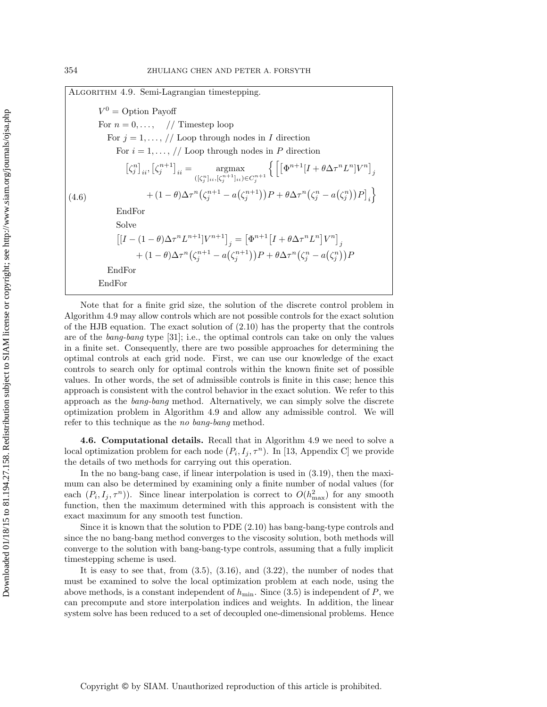Algorithm 4.9. Semi-Lagrangian timestepping.  $V^0 =$  Option Payoff For  $n = 0, \ldots, \quad \textit{//}$  Timestep loop For  $j = 1, \ldots, / /$  Loop through nodes in I direction For  $i = 1, \ldots, / /$  Loop through nodes in P direction  $\left[ \zeta_j^n \right]_{ii}, \left[ \zeta_j^{n+1} \right]_{ii} = \operatornamewithlimits{argmax}_{\left( [\zeta_j^n]_{ii}, [\zeta_j^{n+1}]_{ii} \right) \in C_j^{n+1}}$  $\Big\{\left[\left[\Phi^{n+1}[I+\theta\Delta\tau^nL^n]V^n\right]_j\right]$  $+(1-\theta)\Delta\tau^{n}\left(\zeta_{j}^{n+1}-a\left(\zeta_{j}^{n+1}\right)\right)P+\theta\Delta\tau^{n}\left(\zeta_{j}^{n}-a\left(\zeta_{j}^{n}\right)\right)P\big]_{i}\bigg\}$ EndFor Solve  $\left[\left[I-(1-\theta)\Delta\tau^nL^{n+1}\right]V^{n+1}\right]_j=\left[\Phi^{n+1}\!\left[I+\theta\Delta\tau^nL^n\right]V^n\right]_j$  $+ (1-\theta)\Delta \tau^n\big(\zeta_j^{n+1} - a(\zeta_j^{n+1})\big)P + \theta \Delta \tau^n\big(\zeta_j^n - a(\zeta_j^n)\big)P$ EndFor EndFor (4.6)

Note that for a finite grid size, the solution of the discrete control problem in Algorithm 4.9 may allow controls which are not possible controls for the exact solution of the HJB equation. The exact solution of  $(2.10)$  has the property that the controls are of the bang-bang type [31]; i.e., the optimal controls can take on only the values in a finite set. Consequently, there are two possible approaches for determining the optimal controls at each grid node. First, we can use our knowledge of the exact controls to search only for optimal controls within the known finite set of possible values. In other words, the set of admissible controls is finite in this case; hence this approach is consistent with the control behavior in the exact solution. We refer to this approach as the bang-bang method. Alternatively, we can simply solve the discrete optimization problem in Algorithm 4.9 and allow any admissible control. We will refer to this technique as the *no bang-bang* method.

**4.6. Computational details.** Recall that in Algorithm 4.9 we need to solve a local optimization problem for each node  $(P_i, I_j, \tau^n)$ . In [13, Appendix C] we provide the details of two methods for carrying out this operation.

In the no bang-bang case, if linear interpolation is used in (3.19), then the maximum can also be determined by examining only a finite number of nodal values (for each  $(P_i, I_j, \tau^n)$ ). Since linear interpolation is correct to  $O(h_{\text{max}}^2)$  for any smooth function, then the maximum determined with this approach is consistent with the exact maximum for any smooth test function.

Since it is known that the solution to PDE (2.10) has bang-bang-type controls and since the no bang-bang method converges to the viscosity solution, both methods will converge to the solution with bang-bang-type controls, assuming that a fully implicit timestepping scheme is used.

It is easy to see that, from (3.5), (3.16), and (3.22), the number of nodes that must be examined to solve the local optimization problem at each node, using the above methods, is a constant independent of  $h_{\min}$ . Since (3.5) is independent of P, we can precompute and store interpolation indices and weights. In addition, the linear system solve has been reduced to a set of decoupled one-dimensional problems. Hence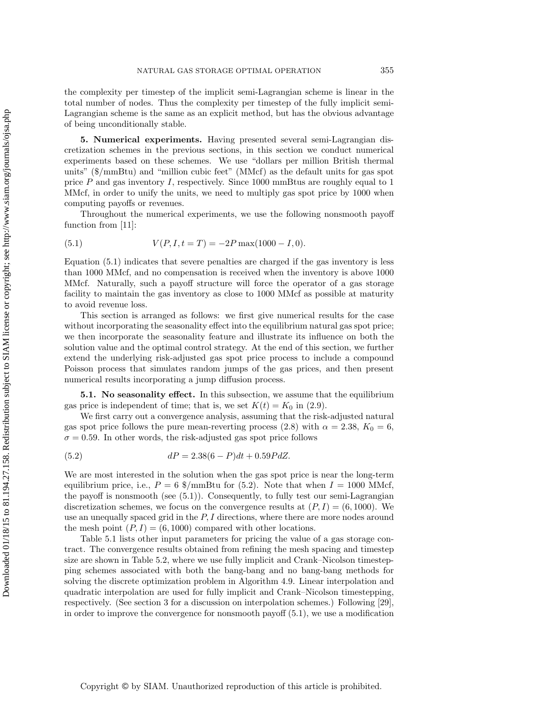the complexity per timestep of the implicit semi-Lagrangian scheme is linear in the total number of nodes. Thus the complexity per timestep of the fully implicit semi-Lagrangian scheme is the same as an explicit method, but has the obvious advantage of being unconditionally stable.

**5. Numerical experiments.** Having presented several semi-Lagrangian discretization schemes in the previous sections, in this section we conduct numerical experiments based on these schemes. We use "dollars per million British thermal units" (\$/mmBtu) and "million cubic feet" (MMcf) as the default units for gas spot price P and gas inventory I, respectively. Since 1000 mmBtus are roughly equal to 1 MMcf, in order to unify the units, we need to multiply gas spot price by 1000 when computing payoffs or revenues.

Throughout the numerical experiments, we use the following nonsmooth payoff function from [11]:

(5.1) 
$$
V(P, I, t = T) = -2P \max(1000 - I, 0).
$$

Equation (5.1) indicates that severe penalties are charged if the gas inventory is less than 1000 MMcf, and no compensation is received when the inventory is above 1000 MMcf. Naturally, such a payoff structure will force the operator of a gas storage facility to maintain the gas inventory as close to 1000 MMcf as possible at maturity to avoid revenue loss.

This section is arranged as follows: we first give numerical results for the case without incorporating the seasonality effect into the equilibrium natural gas spot price; we then incorporate the seasonality feature and illustrate its influence on both the solution value and the optimal control strategy. At the end of this section, we further extend the underlying risk-adjusted gas spot price process to include a compound Poisson process that simulates random jumps of the gas prices, and then present numerical results incorporating a jump diffusion process.

**5.1. No seasonality effect.** In this subsection, we assume that the equilibrium gas price is independent of time; that is, we set  $K(t) = K_0$  in (2.9).

We first carry out a convergence analysis, assuming that the risk-adjusted natural gas spot price follows the pure mean-reverting process (2.8) with  $\alpha = 2.38, K_0 = 6$ ,  $\sigma = 0.59$ . In other words, the risk-adjusted gas spot price follows

(5.2) 
$$
dP = 2.38(6 - P)dt + 0.59PdZ.
$$

We are most interested in the solution when the gas spot price is near the long-term equilibrium price, i.e.,  $P = 6$  \$/mmBtu for (5.2). Note that when  $I = 1000$  MMcf, the payoff is nonsmooth (see (5.1)). Consequently, to fully test our semi-Lagrangian discretization schemes, we focus on the convergence results at  $(P, I) = (6, 1000)$ . We use an unequally spaced grid in the  $P, I$  directions, where there are more nodes around the mesh point  $(P, I) = (6, 1000)$  compared with other locations.

Table 5.1 lists other input parameters for pricing the value of a gas storage contract. The convergence results obtained from refining the mesh spacing and timestep size are shown in Table 5.2, where we use fully implicit and Crank–Nicolson timestepping schemes associated with both the bang-bang and no bang-bang methods for solving the discrete optimization problem in Algorithm 4.9. Linear interpolation and quadratic interpolation are used for fully implicit and Crank–Nicolson timestepping, respectively. (See section 3 for a discussion on interpolation schemes.) Following [29], in order to improve the convergence for nonsmooth payoff (5.1), we use a modification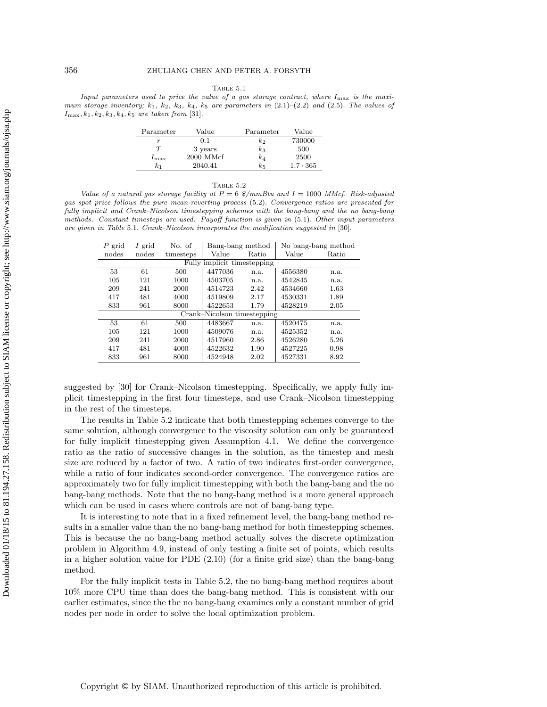#### Table 5.1

Input parameters used to price the value of a gas storage contract, where  $I_{\text{max}}$  is the maximum storage inventory;  $k_1$ ,  $k_2$ ,  $k_3$ ,  $k_4$ ,  $k_5$  are parameters in  $(2.1)-(2.2)$  and  $(2.5)$ . The values of  $I_{\max}, k_1, k_2, k_3, k_4, k_5$  are taken from [31].

| Parameter     | Value       | Parameter        | Value           |
|---------------|-------------|------------------|-----------------|
|               | 0.1         | k2               | 730000          |
|               | 3 years     | $k_3$            | 500             |
| $I_{\rm max}$ | $2000$ MMcf | $\mathit{k}_{4}$ | 2500            |
| k1            | 2040.41     | $k_{5}$          | $1.7 \cdot 365$ |

#### TABLE  $5.2$

Value of a natural gas storage facility at  $P = 6$  \$/mmBtu and  $I = 1000$  MMcf. Risk-adjusted gas spot price follows the pure mean-reverting process (5.2). Convergence ratios are presented for fully implicit and Crank–Nicolson timestepping schemes with the bang-bang and the no bang-bang methods. Constant timesteps are used. Payoff function is given in (5.1). Other input parameters are given in Table 5.1. Crank–Nicolson incorporates the modification suggested in [30].

| $P$ grid                    | I grid                      | No. of    | Bang-bang method |       | No bang-bang method |       |  |
|-----------------------------|-----------------------------|-----------|------------------|-------|---------------------|-------|--|
| nodes                       | nodes                       | timesteps | Value            | Ratio | Value               | Ratio |  |
| Fully implicit timestepping |                             |           |                  |       |                     |       |  |
| 53                          | 61                          | 500       | 4477036          | n.a.  | 4556380             | n.a.  |  |
| 105                         | 121                         | 1000      | 4503705          | n.a.  | 4542845             | n.a.  |  |
| 209                         | 241                         | 2000      | 4514723          | 2.42  | 4534660             | 1.63  |  |
| 417                         | 481                         | 4000      | 4519809          | 2.17  | 4530331             | 1.89  |  |
| 833                         | 961                         | 8000      | 4522653          | 1.79  | 4528219             | 2.05  |  |
|                             | Crank–Nicolson timestepping |           |                  |       |                     |       |  |
| 53                          | 61                          | 500       | 4483667          | n.a.  | 4520475             | n.a.  |  |
| 105                         | 121                         | 1000      | 4509076          | n.a.  | 4525352             | n.a.  |  |
| 209                         | 241                         | 2000      | 4517960          | 2.86  | 4526280             | 5.26  |  |
| 417                         | 481                         | 4000      | 4522632          | 1.90  | 4527225             | 0.98  |  |
| 833                         | 961                         | 8000      | 4524948          | 2.02  | 4527331             | 8.92  |  |

suggested by [30] for Crank–Nicolson timestepping. Specifically, we apply fully implicit timestepping in the first four timesteps, and use Crank–Nicolson timestepping in the rest of the timesteps.

The results in Table 5.2 indicate that both timestepping schemes converge to the same solution, although convergence to the viscosity solution can only be guaranteed for fully implicit timestepping given Assumption 4.1. We define the convergence ratio as the ratio of successive changes in the solution, as the timestep and mesh size are reduced by a factor of two. A ratio of two indicates first-order convergence, while a ratio of four indicates second-order convergence. The convergence ratios are approximately two for fully implicit timestepping with both the bang-bang and the no bang-bang methods. Note that the no bang-bang method is a more general approach which can be used in cases where controls are not of bang-bang type.

It is interesting to note that in a fixed refinement level, the bang-bang method results in a smaller value than the no bang-bang method for both timestepping schemes. This is because the no bang-bang method actually solves the discrete optimization problem in Algorithm 4.9, instead of only testing a finite set of points, which results in a higher solution value for PDE (2.10) (for a finite grid size) than the bang-bang method.

For the fully implicit tests in Table 5.2, the no bang-bang method requires about 10% more CPU time than does the bang-bang method. This is consistent with our earlier estimates, since the the no bang-bang examines only a constant number of grid nodes per node in order to solve the local optimization problem.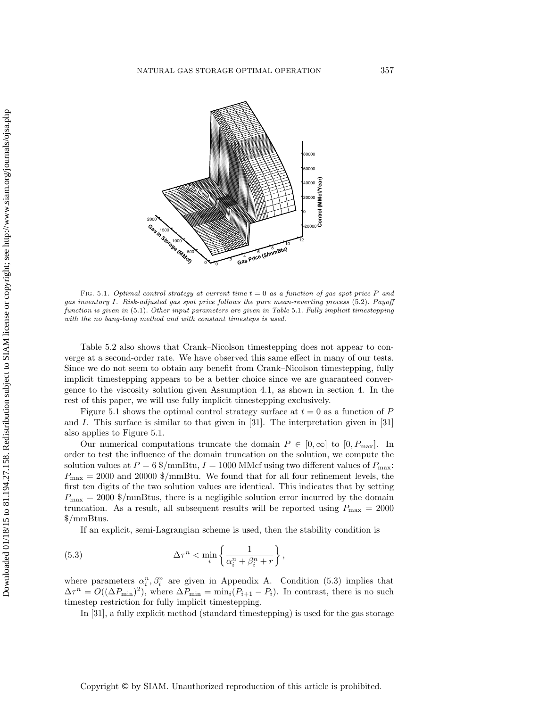

FIG. 5.1. Optimal control strategy at current time  $t = 0$  as a function of gas spot price P and gas inventory I. Risk-adjusted gas spot price follows the pure mean-reverting process (5.2). Payoff function is given in (5.1). Other input parameters are given in Table 5.1. Fully implicit timestepping with the no bang-bang method and with constant timesteps is used.

Table 5.2 also shows that Crank–Nicolson timestepping does not appear to converge at a second-order rate. We have observed this same effect in many of our tests. Since we do not seem to obtain any benefit from Crank–Nicolson timestepping, fully implicit timestepping appears to be a better choice since we are guaranteed convergence to the viscosity solution given Assumption 4.1, as shown in section 4. In the rest of this paper, we will use fully implicit timestepping exclusively.

Figure 5.1 shows the optimal control strategy surface at  $t = 0$  as a function of P and I. This surface is similar to that given in [31]. The interpretation given in [31] also applies to Figure 5.1.

Our numerical computations truncate the domain  $P \in [0,\infty]$  to  $[0,P_{\text{max}}]$ . In order to test the influence of the domain truncation on the solution, we compute the solution values at  $P = 6$  \$/mmBtu,  $I = 1000$  MMcf using two different values of  $P_{\text{max}}$ :  $P_{\text{max}} = 2000$  and 20000 \$/mmBtu. We found that for all four refinement levels, the first ten digits of the two solution values are identical. This indicates that by setting  $P_{\text{max}} = 2000 \text{ \$/mmBtus}$ , there is a negligible solution error incurred by the domain truncation. As a result, all subsequent results will be reported using  $P_{\text{max}} = 2000$ \$/mmBtus.

If an explicit, semi-Lagrangian scheme is used, then the stability condition is

(5.3) 
$$
\Delta \tau^n < \min_i \left\{ \frac{1}{\alpha_i^n + \beta_i^n + r} \right\},
$$

where parameters  $\alpha_i^n, \beta_i^n$  are given in Appendix A. Condition (5.3) implies that  $\Delta \tau^n = O((\Delta P_{\min})^2)$ , where  $\Delta P_{\min} = \min_i (P_{i+1} - P_i)$ . In contrast, there is no such timestep restriction for fully implicit timestepping.

In [31], a fully explicit method (standard timestepping) is used for the gas storage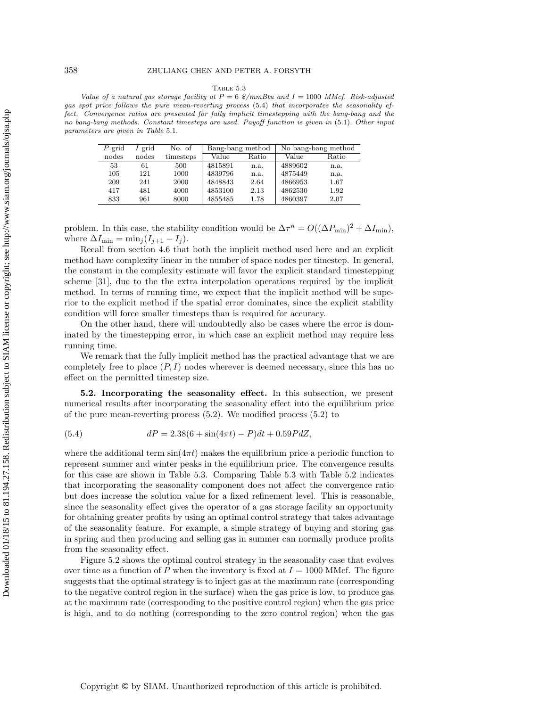Value of a natural gas storage facility at  $P = 6$  \$/mmBtu and  $I = 1000$  MMcf. Risk-adjusted gas spot price follows the pure mean-reverting process (5.4) that incorporates the seasonality effect. Convergence ratios are presented for fully implicit timestepping with the bang-bang and the no bang-bang methods. Constant timesteps are used. Payoff function is given in (5.1). Other input parameters are given in Table 5.1.

| $P$ grid | I grid | No. of    | Bang-bang method |       |         | No bang-bang method |
|----------|--------|-----------|------------------|-------|---------|---------------------|
| nodes    | nodes  | timesteps | Value            | Ratio | Value   | Ratio               |
| 53       | 61     | 500       | 4815891          | n.a.  | 4889602 | n.a.                |
| 105      | 121    | 1000      | 4839796          | n.a.  | 4875449 | n.a.                |
| 209      | 241    | 2000      | 4848843          | 2.64  | 4866953 | 1.67                |
| 417      | 481    | 4000      | 4853100          | 2.13  | 4862530 | 1.92                |
| 833      | 961    | 8000      | 4855485          | 1.78  | 4860397 | 2.07                |

problem. In this case, the stability condition would be  $\Delta \tau^n = O((\Delta P_{\min})^2 + \Delta I_{\min}),$ where  $\Delta I_{\min} = \min_j (I_{j+1} - I_j)$ .

Recall from section 4.6 that both the implicit method used here and an explicit method have complexity linear in the number of space nodes per timestep. In general, the constant in the complexity estimate will favor the explicit standard timestepping scheme [31], due to the the extra interpolation operations required by the implicit method. In terms of running time, we expect that the implicit method will be superior to the explicit method if the spatial error dominates, since the explicit stability condition will force smaller timesteps than is required for accuracy.

On the other hand, there will undoubtedly also be cases where the error is dominated by the timestepping error, in which case an explicit method may require less running time.

We remark that the fully implicit method has the practical advantage that we are completely free to place  $(P, I)$  nodes wherever is deemed necessary, since this has no effect on the permitted timestep size.

**5.2. Incorporating the seasonality effect.** In this subsection, we present numerical results after incorporating the seasonality effect into the equilibrium price of the pure mean-reverting process (5.2). We modified process (5.2) to

(5.4) 
$$
dP = 2.38(6 + \sin(4\pi t) - P)dt + 0.59PdZ,
$$

where the additional term  $sin(4\pi t)$  makes the equilibrium price a periodic function to represent summer and winter peaks in the equilibrium price. The convergence results for this case are shown in Table 5.3. Comparing Table 5.3 with Table 5.2 indicates that incorporating the seasonality component does not affect the convergence ratio but does increase the solution value for a fixed refinement level. This is reasonable, since the seasonality effect gives the operator of a gas storage facility an opportunity for obtaining greater profits by using an optimal control strategy that takes advantage of the seasonality feature. For example, a simple strategy of buying and storing gas in spring and then producing and selling gas in summer can normally produce profits from the seasonality effect.

Figure 5.2 shows the optimal control strategy in the seasonality case that evolves over time as a function of P when the inventory is fixed at  $I = 1000$  MMcf. The figure suggests that the optimal strategy is to inject gas at the maximum rate (corresponding to the negative control region in the surface) when the gas price is low, to produce gas at the maximum rate (corresponding to the positive control region) when the gas price is high, and to do nothing (corresponding to the zero control region) when the gas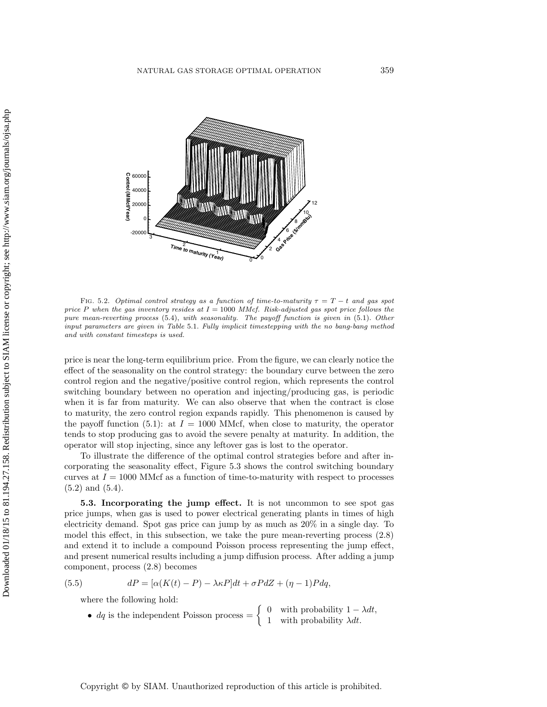

FIG. 5.2. Optimal control strategy as a function of time-to-maturity  $\tau = T - t$  and gas spot price P when the gas inventory resides at  $I = 1000$  MMcf. Risk-adjusted gas spot price follows the pure mean-reverting process (5.4), with seasonality. The payoff function is given in (5.1). Other input parameters are given in Table 5.1. Fully implicit timestepping with the no bang-bang method and with constant timesteps is used.

price is near the long-term equilibrium price. From the figure, we can clearly notice the effect of the seasonality on the control strategy: the boundary curve between the zero control region and the negative/positive control region, which represents the control switching boundary between no operation and injecting/producing gas, is periodic when it is far from maturity. We can also observe that when the contract is close to maturity, the zero control region expands rapidly. This phenomenon is caused by the payoff function (5.1): at  $I = 1000$  MMcf, when close to maturity, the operator tends to stop producing gas to avoid the severe penalty at maturity. In addition, the operator will stop injecting, since any leftover gas is lost to the operator.

To illustrate the difference of the optimal control strategies before and after incorporating the seasonality effect, Figure 5.3 shows the control switching boundary curves at  $I = 1000$  MMcf as a function of time-to-maturity with respect to processes (5.2) and (5.4).

**5.3. Incorporating the jump effect.** It is not uncommon to see spot gas price jumps, when gas is used to power electrical generating plants in times of high electricity demand. Spot gas price can jump by as much as 20% in a single day. To model this effect, in this subsection, we take the pure mean-reverting process (2.8) and extend it to include a compound Poisson process representing the jump effect, and present numerical results including a jump diffusion process. After adding a jump component, process (2.8) becomes

(5.5) 
$$
dP = [\alpha(K(t) - P) - \lambda \kappa P]dt + \sigma P dZ + (\eta - 1)P dq,
$$

where the following hold:

• dq is the independent Poisson process =  $\begin{cases} 0 & \text{with probability } 1 - \lambda dt, \\ 1 & \text{with probability } \lambda dt. \end{cases}$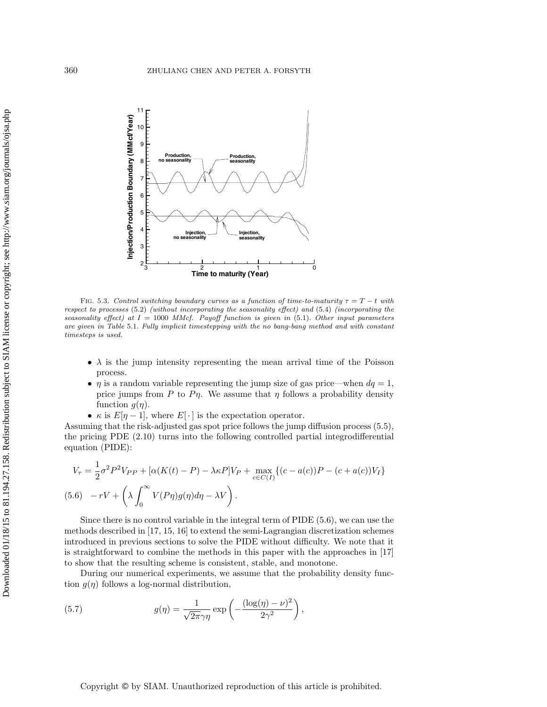

FIG. 5.3. Control switching boundary curves as a function of time-to-maturity  $\tau = T - t$  with respect to processes (5.2) (without incorporating the seasonality effect) and (5.4) (incorporating the seasonality effect) at  $I = 1000$  MMcf. Payoff function is given in (5.1). Other input parameters are given in Table 5.1. Fully implicit timestepping with the no bang-bang method and with constant timesteps is used.

- $\lambda$  is the jump intensity representing the mean arrival time of the Poisson process.
- $\eta$  is a random variable representing the jump size of gas price—when  $dq = 1$ , price jumps from P to P $\eta$ . We assume that  $\eta$  follows a probability density function  $q(\eta)$ .
- $\kappa$  is  $E[\eta 1]$ , where  $E[\cdot]$  is the expectation operator.

Assuming that the risk-adjusted gas spot price follows the jump diffusion process (5.5), the pricing PDE (2.10) turns into the following controlled partial integrodifferential equation (PIDE):

$$
V_{\tau} = \frac{1}{2}\sigma^2 P^2 V_{PP} + [\alpha(K(t) - P) - \lambda \kappa P] V_{P} + \max_{c \in C(I)} \{ (c - a(c))P - (c + a(c))V_{I} \}
$$
  
(5.6) 
$$
-rV + \left( \lambda \int_0^{\infty} V(P\eta)g(\eta)d\eta - \lambda V \right).
$$

Since there is no control variable in the integral term of PIDE (5.6), we can use the methods described in [17, 15, 16] to extend the semi-Lagrangian discretization schemes introduced in previous sections to solve the PIDE without difficulty. We note that it is straightforward to combine the methods in this paper with the approaches in [17] to show that the resulting scheme is consistent, stable, and monotone.

During our numerical experiments, we assume that the probability density function  $g(\eta)$  follows a log-normal distribution,

(5.7) 
$$
g(\eta) = \frac{1}{\sqrt{2\pi}\gamma\eta} \exp\left(-\frac{(\log(\eta) - \nu)^2}{2\gamma^2}\right),
$$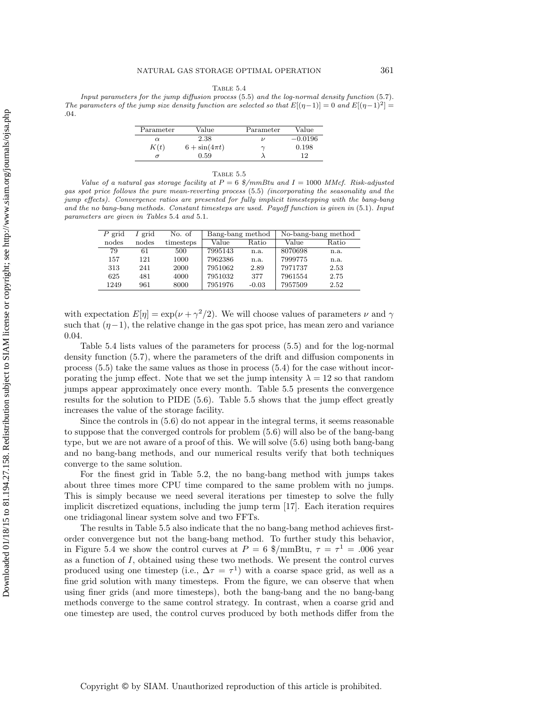Table 5.4

Input parameters for the jump diffusion process (5.5) and the log-normal density function (5.7). The parameters of the jump size density function are selected so that  $E[(\eta-1)] = 0$  and  $E[(\eta-1)^2] =$ .04.

| Parameter   | Value              | Parameter | Value     |
|-------------|--------------------|-----------|-----------|
| $_{\alpha}$ | 2.38               | ν         | $-0.0196$ |
| K(t)        | $6 + \sin(4\pi t)$ |           | 0.198     |
| σ           | 0.59               |           | 1 ດ       |

| TABLE | а. |  |
|-------|----|--|
|       |    |  |

Value of a natural gas storage facility at P = 6 *\$*/mmBtu and I = 1000 MMcf. Risk-adjusted gas spot price follows the pure mean-reverting process (5.5) (incorporating the seasonality and the jump effects). Convergence ratios are presented for fully implicit timestepping with the bang-bang and the no bang-bang methods. Constant timesteps are used. Payoff function is given in (5.1). Input parameters are given in Tables 5.4 and 5.1.

| $P$ grid | grid  | No. of    | Bang-bang method |         | No-bang-bang method |       |
|----------|-------|-----------|------------------|---------|---------------------|-------|
| nodes    | nodes | timesteps | Value            | Ratio   | Value               | Ratio |
| 79       | 61    | 500       | 7995143          | n.a.    | 8070698             | n.a.  |
| 157      | 121   | 1000      | 7962386          | n.a.    | 7999775             | n.a.  |
| 313      | 241   | 2000      | 7951062          | 2.89    | 7971737             | 2.53  |
| 625      | 481   | 4000      | 7951032          | 377     | 7961554             | 2.75  |
| 1249     | 961   | 8000      | 7951976          | $-0.03$ | 7957509             | 2.52  |

with expectation  $E[\eta] = \exp(\nu + \gamma^2/2)$ . We will choose values of parameters  $\nu$  and  $\gamma$ such that  $(\eta-1)$ , the relative change in the gas spot price, has mean zero and variance 0.04.

Table 5.4 lists values of the parameters for process (5.5) and for the log-normal density function (5.7), where the parameters of the drift and diffusion components in process (5.5) take the same values as those in process (5.4) for the case without incorporating the jump effect. Note that we set the jump intensity  $\lambda = 12$  so that random jumps appear approximately once every month. Table 5.5 presents the convergence results for the solution to PIDE (5.6). Table 5.5 shows that the jump effect greatly increases the value of the storage facility.

Since the controls in (5.6) do not appear in the integral terms, it seems reasonable to suppose that the converged controls for problem (5.6) will also be of the bang-bang type, but we are not aware of a proof of this. We will solve (5.6) using both bang-bang and no bang-bang methods, and our numerical results verify that both techniques converge to the same solution.

For the finest grid in Table 5.2, the no bang-bang method with jumps takes about three times more CPU time compared to the same problem with no jumps. This is simply because we need several iterations per timestep to solve the fully implicit discretized equations, including the jump term [17]. Each iteration requires one tridiagonal linear system solve and two FFTs.

The results in Table 5.5 also indicate that the no bang-bang method achieves firstorder convergence but not the bang-bang method. To further study this behavior, in Figure 5.4 we show the control curves at  $P = 6$  \$/mmBtu,  $\tau = \tau^1 = .006$  year as a function of I, obtained using these two methods. We present the control curves produced using one timestep (i.e.,  $\Delta \tau = \tau^1$ ) with a coarse space grid, as well as a fine grid solution with many timesteps. From the figure, we can observe that when using finer grids (and more timesteps), both the bang-bang and the no bang-bang methods converge to the same control strategy. In contrast, when a coarse grid and one timestep are used, the control curves produced by both methods differ from the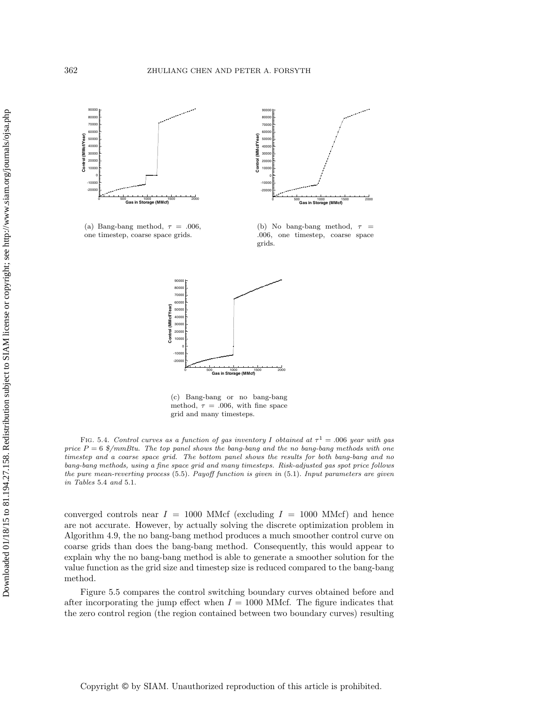



(c) Bang-bang or no bang-bang method,  $\tau = .006$ , with fine space grid and many timesteps.

FIG. 5.4. Control curves as a function of gas inventory I obtained at  $\tau^1 = .006$  year with gas price P = 6 *\$*/mmBtu. The top panel shows the bang-bang and the no bang-bang methods with one timestep and a coarse space grid. The bottom panel shows the results for both bang-bang and no bang-bang methods, using a fine space grid and many timesteps. Risk-adjusted gas spot price follows the pure mean-reverting process (5.5). Payoff function is given in (5.1). Input parameters are given in Tables 5.4 and 5.1.

converged controls near  $I = 1000$  MMcf (excluding  $I = 1000$  MMcf) and hence are not accurate. However, by actually solving the discrete optimization problem in Algorithm 4.9, the no bang-bang method produces a much smoother control curve on coarse grids than does the bang-bang method. Consequently, this would appear to explain why the no bang-bang method is able to generate a smoother solution for the value function as the grid size and timestep size is reduced compared to the bang-bang method.

Figure 5.5 compares the control switching boundary curves obtained before and after incorporating the jump effect when  $I = 1000$  MMcf. The figure indicates that the zero control region (the region contained between two boundary curves) resulting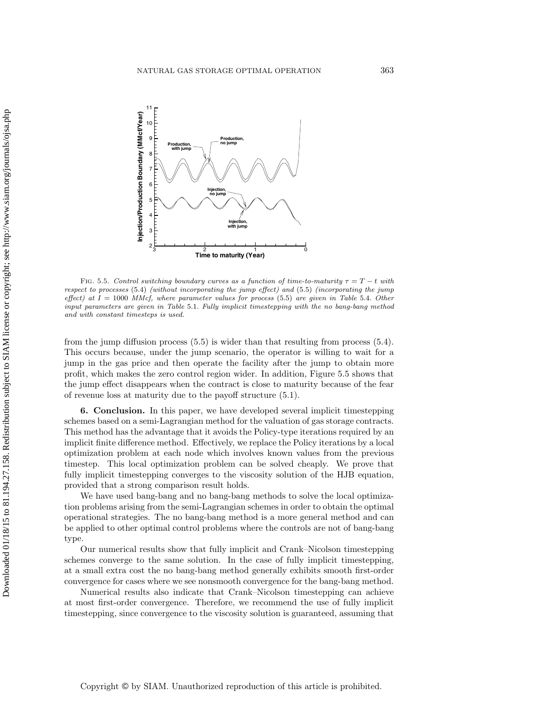

FIG. 5.5. Control switching boundary curves as a function of time-to-maturity  $\tau = T - t$  with respect to processes (5.4) (without incorporating the jump effect) and (5.5) (incorporating the jump effect) at  $I = 1000$  MMcf, where parameter values for process (5.5) are given in Table 5.4. Other input parameters are given in Table 5.1. Fully implicit timestepping with the no bang-bang method and with constant timesteps is used.

from the jump diffusion process (5.5) is wider than that resulting from process (5.4). This occurs because, under the jump scenario, the operator is willing to wait for a jump in the gas price and then operate the facility after the jump to obtain more profit, which makes the zero control region wider. In addition, Figure 5.5 shows that the jump effect disappears when the contract is close to maturity because of the fear of revenue loss at maturity due to the payoff structure (5.1).

**6. Conclusion.** In this paper, we have developed several implicit timestepping schemes based on a semi-Lagrangian method for the valuation of gas storage contracts. This method has the advantage that it avoids the Policy-type iterations required by an implicit finite difference method. Effectively, we replace the Policy iterations by a local optimization problem at each node which involves known values from the previous timestep. This local optimization problem can be solved cheaply. We prove that fully implicit timestepping converges to the viscosity solution of the HJB equation, provided that a strong comparison result holds.

We have used bang-bang and no bang-bang methods to solve the local optimization problems arising from the semi-Lagrangian schemes in order to obtain the optimal operational strategies. The no bang-bang method is a more general method and can be applied to other optimal control problems where the controls are not of bang-bang type.

Our numerical results show that fully implicit and Crank–Nicolson timestepping schemes converge to the same solution. In the case of fully implicit timestepping, at a small extra cost the no bang-bang method generally exhibits smooth first-order convergence for cases where we see nonsmooth convergence for the bang-bang method.

Numerical results also indicate that Crank–Nicolson timestepping can achieve at most first-order convergence. Therefore, we recommend the use of fully implicit timestepping, since convergence to the viscosity solution is guaranteed, assuming that

Downloaded 01/18/15 to 81.194.27.158. Redistribution subject to SIAM license or copyright; see http://www.siam.org/journals/ojsa.php Downloaded 01/18/15 to 81.194.27.158. Redistribution subject to SIAM license or copyright; see http://www.siam.org/journals/ojsa.php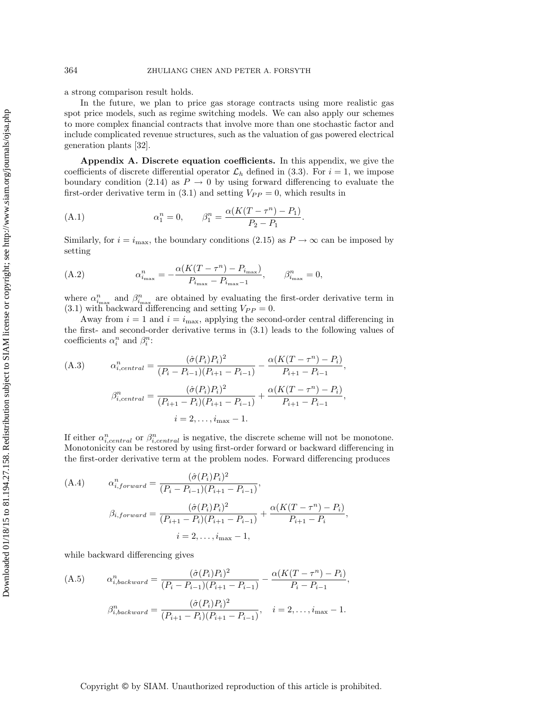a strong comparison result holds.

In the future, we plan to price gas storage contracts using more realistic gas spot price models, such as regime switching models. We can also apply our schemes to more complex financial contracts that involve more than one stochastic factor and include complicated revenue structures, such as the valuation of gas powered electrical generation plants [32].

**Appendix A. Discrete equation coefficients.** In this appendix, we give the coefficients of discrete differential operator  $\mathcal{L}_h$  defined in (3.3). For  $i = 1$ , we impose boundary condition (2.14) as  $P \to 0$  by using forward differencing to evaluate the first-order derivative term in (3.1) and setting  $V_{PP} = 0$ , which results in

(A.1) 
$$
\alpha_1^n = 0, \qquad \beta_1^n = \frac{\alpha (K(T - \tau^n) - P_1)}{P_2 - P_1}.
$$

Similarly, for  $i = i_{\text{max}}$ , the boundary conditions (2.15) as  $P \to \infty$  can be imposed by setting

(A.2) 
$$
\alpha_{i_{\max}}^n = -\frac{\alpha (K(T - \tau^n) - P_{i_{\max}})}{P_{i_{\max}} - P_{i_{\max}} - 1}, \qquad \beta_{i_{\max}}^n = 0,
$$

where  $\alpha_{i_{\max}}^n$  and  $\beta_{i_{\max}}^n$  are obtained by evaluating the first-order derivative term in (3.1) with backward differencing and setting  $V_{PP} = 0$ .

Away from  $i = 1$  and  $i = i_{\text{max}}$ , applying the second-order central differencing in the first- and second-order derivative terms in (3.1) leads to the following values of coefficients  $\alpha_i^n$  and  $\beta_i^n$ :

(A.3) 
$$
\alpha_{i,central}^n = \frac{(\hat{\sigma}(P_i)P_i)^2}{(P_i - P_{i-1})(P_{i+1} - P_{i-1})} - \frac{\alpha(K(T - \tau^n) - P_i)}{P_{i+1} - P_{i-1}},
$$

$$
\beta_{i,central}^n = \frac{(\hat{\sigma}(P_i)P_i)^2}{(P_{i+1} - P_i)(P_{i+1} - P_{i-1})} + \frac{\alpha(K(T - \tau^n) - P_i)}{P_{i+1} - P_{i-1}},
$$

$$
i = 2, ..., i_{\text{max}} - 1.
$$

If either  $\alpha_{i,central}^n$  or  $\beta_{i,central}^n$  is negative, the discrete scheme will not be monotone. Monotonicity can be restored by using first-order forward or backward differencing in the first-order derivative term at the problem nodes. Forward differencing produces

(A.4) 
$$
\alpha_{i,forward}^{n} = \frac{(\hat{\sigma}(P_i)P_i)^2}{(P_i - P_{i-1})(P_{i+1} - P_{i-1})},
$$

$$
\beta_{i,forward} = \frac{(\hat{\sigma}(P_i)P_i)^2}{(P_{i+1} - P_i)(P_{i+1} - P_{i-1})} + \frac{\alpha(K(T - \tau^n) - P_i)}{P_{i+1} - P_i},
$$

$$
i = 2, ..., i_{\text{max}} - 1,
$$

while backward differencing gives

(A.5) 
$$
\alpha_{i,backward}^{n} = \frac{(\hat{\sigma}(P_i)P_i)^2}{(P_i - P_{i-1})(P_{i+1} - P_{i-1})} - \frac{\alpha(K(T - \tau^n) - P_i)}{P_i - P_{i-1}},
$$

$$
\beta_{i,backward}^{n} = \frac{(\hat{\sigma}(P_i)P_i)^2}{(P_{i+1} - P_i)(P_{i+1} - P_{i-1})}, \quad i = 2, ..., i_{max} - 1.
$$

### Copyright © by SIAM. Unauthorized reproduction of this article is prohibited.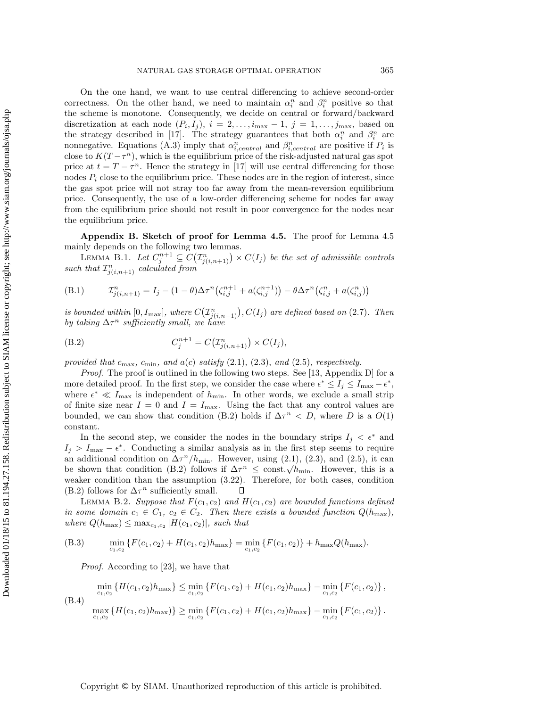On the one hand, we want to use central differencing to achieve second-order correctness. On the other hand, we need to maintain  $\alpha_i^n$  and  $\beta_i^n$  positive so that the scheme is monotone. Consequently, we decide on central or forward/backward discretization at each node  $(P_i, I_j)$ ,  $i = 2, \ldots, i_{\text{max}} - 1$ ,  $j = 1, \ldots, j_{\text{max}}$ , based on the strategy described in [17]. The strategy guarantees that both  $\alpha_i^n$  and  $\beta_i^n$  are nonnegative. Equations (A.3) imply that  $\alpha_{i,central}^n$  and  $\beta_{i,central}^n$  are positive if  $P_i$  is close to  $K(T - \tau^n)$ , which is the equilibrium price of the risk-adjusted natural gas spot price at  $t = T - \tau^n$ . Hence the strategy in [17] will use central differencing for those nodes  $P_i$  close to the equilibrium price. These nodes are in the region of interest, since the gas spot price will not stray too far away from the mean-reversion equilibrium price. Consequently, the use of a low-order differencing scheme for nodes far away from the equilibrium price should not result in poor convergence for the nodes near the equilibrium price.

**Appendix B. Sketch of proof for Lemma 4.5.** The proof for Lemma 4.5 mainly depends on the following two lemmas.

LEMMA B.1. Let  $C_j^{n+1} \subseteq C(\mathcal{I}_{j(i,n+1)}^n) \times C(I_j)$  be the set of admissible controls such that  $\mathcal{I}_{j(i,n+1)}^n$  calculated from

(B.1) 
$$
\mathcal{I}_{j(i,n+1)}^n = I_j - (1-\theta)\Delta \tau^n \left( \zeta_{i,j}^{n+1} + a(\zeta_{i,j}^{n+1}) \right) - \theta \Delta \tau^n \left( \zeta_{i,j}^n + a(\zeta_{i,j}^n) \right)
$$

is bounded within  $[0, I_{\max}]$ , where  $C(T_{j(i,n+1)}^n)$ ,  $C(I_j)$  are defined based on (2.7). Then by taking  $\Delta \tau^n$  sufficiently small, we have

(B.2) 
$$
C_j^{n+1} = C(\mathcal{I}_{j(i,n+1)}^n) \times C(I_j),
$$

provided that  $c_{\text{max}}$ ,  $c_{\text{min}}$ , and  $a(c)$  satisfy  $(2.1)$ ,  $(2.3)$ , and  $(2.5)$ , respectively.

Proof. The proof is outlined in the following two steps. See [13, Appendix D] for a more detailed proof. In the first step, we consider the case where  $\epsilon^* \leq I_j \leq I_{\max} - \epsilon^*$ , where  $\epsilon^* \ll I_{\text{max}}$  is independent of  $h_{\text{min}}$ . In other words, we exclude a small strip of finite size near  $I = 0$  and  $I = I_{\text{max}}$ . Using the fact that any control values are bounded, we can show that condition (B.2) holds if  $\Delta \tau^n < D$ , where D is a  $O(1)$ constant.

In the second step, we consider the nodes in the boundary strips  $I_i < \epsilon^*$  and  $I_j > I_{\text{max}} - e^*$ . Conducting a similar analysis as in the first step seems to require an additional condition on  $\Delta \tau^n / h_{\text{min}}$ . However, using (2.1), (2.3), and (2.5), it can an additional condition on  $\Delta \tau^{n}/n_{\min}$ . However, using (2.1), (2.5), and (2.5), it can<br>be shown that condition (B.2) follows if  $\Delta \tau^{n} \leq$  const. $\sqrt{h_{\min}}$ . However, this is a weaker condition than the assumption (3.22). Therefore, for both cases, condition (B.2) follows for  $\Delta \tau^n$  sufficiently small.  $\Box$ 

LEMMA B.2. Suppose that  $F(c_1, c_2)$  and  $H(c_1, c_2)$  are bounded functions defined in some domain  $c_1 \in C_1$ ,  $c_2 \in C_2$ . Then there exists a bounded function  $Q(h_{\text{max}})$ , where  $Q(h_{\text{max}}) \leq \max_{c_1, c_2} |H(c_1, c_2)|$ , such that

(B.3) 
$$
\min_{c_1, c_2} \{ F(c_1, c_2) + H(c_1, c_2) h_{\max} \} = \min_{c_1, c_2} \{ F(c_1, c_2) \} + h_{\max} Q(h_{\max}).
$$

Proof. According to [23], we have that

$$
\min_{c_1, c_2} \{ H(c_1, c_2) h_{\max} \} \le \min_{c_1, c_2} \{ F(c_1, c_2) + H(c_1, c_2) h_{\max} \} - \min_{c_1, c_2} \{ F(c_1, c_2) \},
$$
\n
$$
\max_{c_1, c_2} \{ H(c_1, c_2) h_{\max} \} \ge \min_{c_1, c_2} \{ F(c_1, c_2) + H(c_1, c_2) h_{\max} \} - \min_{c_1, c_2} \{ F(c_1, c_2) \}.
$$

Copyright © by SIAM. Unauthorized reproduction of this article is prohibited.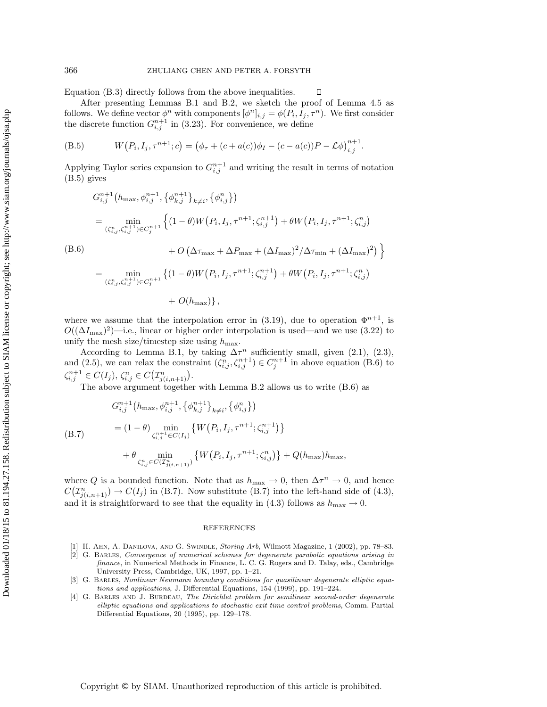Equation (B.3) directly follows from the above inequalities.  $\Box$ 

After presenting Lemmas B.1 and B.2, we sketch the proof of Lemma 4.5 as follows. We define vector  $\phi^n$  with components  $[\phi^n]_{i,j} = \phi(P_i, I_j, \tau^n)$ . We first consider the discrete function  $G_{i,j}^{n+1}$  in (3.23). For convenience, we define

(B.5) 
$$
W(P_i, I_j, \tau^{n+1}; c) = (\phi_\tau + (c + a(c))\phi_I - (c - a(c))P - \mathcal{L}\phi)_{i,j}^{n+1}.
$$

Applying Taylor series expansion to  $G_{i,j}^{n+1}$  and writing the result in terms of notation (B.5) gives

$$
G_{i,j}^{n+1}(h_{\max}, \phi_{i,j}^{n+1}, \{\phi_{k,j}^{n+1}\}_{k \neq i}, \{\phi_{i,j}^{n}\})
$$
\n
$$
= \min_{(\zeta_{i,j}^n, \zeta_{i,j}^{n+1}) \in C_j^{n+1}} \left\{ (1-\theta)W(P_i, I_j, \tau^{n+1}; \zeta_{i,j}^{n+1}) + \theta W(P_i, I_j, \tau^{n+1}; \zeta_{i,j}^{n}) + O\left(\Delta \tau_{\max} + \Delta P_{\max} + (\Delta I_{\max})^2 / \Delta \tau_{\min} + (\Delta I_{\max})^2 \right) \right\}
$$
\n(B.6)\n
$$
+ O\left(\Delta \tau_{\max} + \Delta P_{\max} + (\Delta I_{\max})^2 / \Delta \tau_{\min} + (\Delta I_{\max})^2 \right) \left\}
$$
\n
$$
= \min_{(\zeta_{i,j}^n, \zeta_{i,j}^{n+1}) \in C_j^{n+1}} \left\{ (1-\theta)W(P_i, I_j, \tau^{n+1}; \zeta_{i,j}^{n+1}) + \theta W(P_i, I_j, \tau^{n+1}; \zeta_{i,j}^{n}) \right\}
$$

$$
+ O(h_{\text{max}})\},
$$

where we assume that the interpolation error in (3.19), due to operation  $\Phi^{n+1}$ , is  $O((\Delta I_{\rm max})^2)$ —i.e., linear or higher order interpolation is used—and we use (3.22) to unify the mesh size/timestep size using  $h_{\text{max}}$ .

According to Lemma B.1, by taking  $\Delta \tau^n$  sufficiently small, given (2.1), (2.3), and (2.5), we can relax the constraint  $(\zeta_{i,j}^n, \zeta_{i,j}^{n+1}) \in C_j^{n+1}$  in above equation (B.6) to  $\zeta_{i,j}^{n+1} \in C(I_j), \, \zeta_{i,j}^n \in C(\mathcal{I}_{j(i,n+1)}^n).$ 

The above argument together with Lemma B.2 allows us to write (B.6) as

$$
G_{i,j}^{n+1}(h_{\max}, \phi_{i,j}^{n+1}, \{\phi_{k,j}^{n+1}\}_{k \neq i}, \{\phi_{i,j}^{n}\})
$$
  
\n(B.7)  
\n
$$
= (1 - \theta) \min_{\zeta_{i,j}^{n+1} \in C(I_j)} \{W(P_i, I_j, \tau^{n+1}; \zeta_{i,j}^{n+1})\}
$$
  
\n
$$
+ \theta \min_{\zeta_{i,j}^{n+1} \in C(I_j^{n+1})} \{W(P_i, I_j, \tau^{n+1}; \zeta_{i,j}^{n})\} + Q(h_{\max})h_{\max},
$$

$$
\zeta_{i,j}^n \in C(T_{j(i,n+1)}^n) \qquad \qquad , s_{i,j} \qquad , s_{i,j} \qquad \qquad , \zeta_{i,j} \qquad \qquad ,
$$

where Q is a bounded function. Note that as  $h_{\text{max}} \to 0$ , then  $\Delta \tau^n \to 0$ , and hence  $C(\mathcal{I}_{j(i,n+1)}^n) \to C(I_j)$  in (B.7). Now substitute (B.7) into the left-hand side of (4.3), and it is straightforward to see that the equality in (4.3) follows as  $h_{\text{max}} \to 0$ .

#### REFERENCES

- [1] H. Ahn, A. Danilova, and G. Swindle, Storing Arb, Wilmott Magazine, 1 (2002), pp. 78–83.
- [2] G. Barles, Convergence of numerical schemes for degenerate parabolic equations arising in finance, in Numerical Methods in Finance, L. C. G. Rogers and D. Talay, eds., Cambridge University Press, Cambridge, UK, 1997, pp. 1–21.
- [3] G. Barles, Nonlinear Neumann boundary conditions for quasilinear degenerate elliptic equations and applications, J. Differential Equations, 154 (1999), pp. 191–224.
- [4] G. BARLES AND J. BURDEAU, The Dirichlet problem for semilinear second-order degenerate elliptic equations and applications to stochastic exit time control problems, Comm. Partial Differential Equations, 20 (1995), pp. 129–178.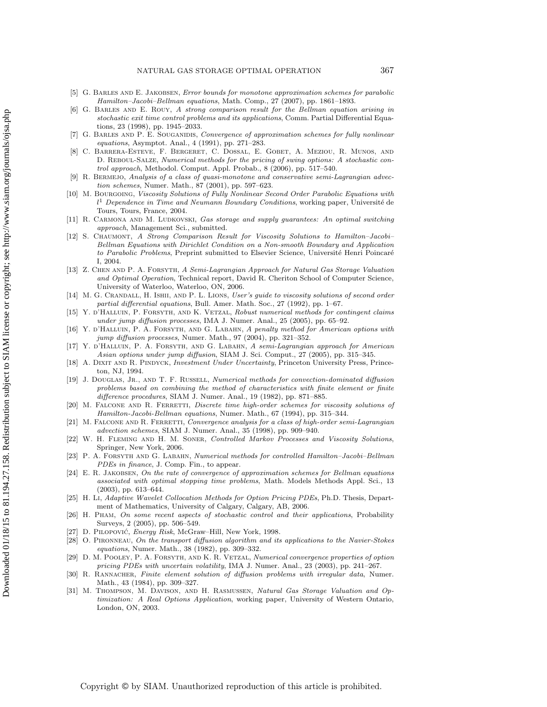- [5] G. Barles and E. Jakobsen, Error bounds for monotone approximation schemes for parabolic Hamilton–Jacobi–Bellman equations, Math. Comp., 27 (2007), pp. 1861–1893.
- [6] G. Barles and E. Rouy, A strong comparison result for the Bellman equation arising in stochastic exit time control problems and its applications, Comm. Partial Differential Equations, 23 (1998), pp. 1945–2033.
- [7] G. BARLES AND P. E. SOUGANIDIS, Convergence of approximation schemes for fully nonlinear equations, Asymptot. Anal., 4 (1991), pp. 271–283.
- [8] C. Barrera-Esteve, F. Bergeret, C. Dossal, E. Gobet, A. Meziou, R. Munos, and D. REBOUL-SALZE, Numerical methods for the pricing of swing options: A stochastic control approach, Methodol. Comput. Appl. Probab., 8 (2006), pp. 517–540.
- [9] R. BERMEJO, Analysis of a class of quasi-monotone and conservative semi-Lagrangian advection schemes, Numer. Math., 87 (2001), pp. 597–623.
- [10] M. BOURGOING, Viscosity Solutions of Fully Nonlinear Second Order Parabolic Equations with  $l^1$  Dependence in Time and Neumann Boundary Conditions, working paper, Université de Tours, Tours, France, 2004.
- [11] R. CARMONA AND M. LUDKOVSKI, Gas storage and supply guarantees: An optimal switching approach, Management Sci., submitted.
- [12] S. Chaumont, A Strong Comparison Result for Viscosity Solutions to Hamilton–Jacobi– Bellman Equations with Dirichlet Condition on a Non-smooth Boundary and Application to Parabolic Problems, Preprint submitted to Elsevier Science, Université Henri Poincaré I, 2004.
- [13] Z. Chen and P. A. Forsyth, A Semi-Lagrangian Approach for Natural Gas Storage Valuation and Optimal Operation, Technical report, David R. Cheriton School of Computer Science, University of Waterloo, Waterloo, ON, 2006.
- [14] M. G. CRANDALL, H. ISHII, AND P. L. LIONS, User's guide to viscosity solutions of second order partial differential equations, Bull. Amer. Math. Soc., 27 (1992), pp. 1–67.
- [15] Y. D'HALLUIN, P. FORSYTH, AND K. VETZAL, Robust numerical methods for contingent claims under jump diffusion processes, IMA J. Numer. Anal., 25 (2005), pp. 65–92.
- Y. D'HALLUIN, P. A. FORSYTH, AND G. LABAHN, A penalty method for American options with jump diffusion processes, Numer. Math., 97 (2004), pp. 321–352.
- [17] Y. d'Halluin, P. A. Forsyth, and G. Labahn, A semi-Lagrangian approach for American Asian options under jump diffusion, SIAM J. Sci. Comput., 27 (2005), pp. 315–345.
- [18] A. DIXIT AND R. PINDYCK, Investment Under Uncertainty, Princeton University Press, Princeton, NJ, 1994.
- [19] J. Douglas, Jr., and T. F. Russell, Numerical methods for convection-dominated diffusion problems based on combining the method of characteristics with finite element or finite difference procedures, SIAM J. Numer. Anal., 19 (1982), pp. 871–885.
- [20] M. FALCONE AND R. FERRETTI, Discrete time high-order schemes for viscosity solutions of Hamilton-Jacobi-Bellman equations, Numer. Math., 67 (1994), pp. 315–344.
- [21] M. FALCONE AND R. FERRETTI, Convergence analysis for a class of high-order semi-Lagrangian advection schemes, SIAM J. Numer. Anal., 35 (1998), pp. 909–940.
- [22] W. H. Fleming and H. M. Soner, Controlled Markov Processes and Viscosity Solutions, Springer, New York, 2006.
- [23] P. A. Forsyth and G. Labahn, Numerical methods for controlled Hamilton–Jacobi–Bellman PDEs in finance, J. Comp. Fin., to appear.
- [24] E. R. Jakobsen, On the rate of convergence of approximation schemes for Bellman equations associated with optimal stopping time problems, Math. Models Methods Appl. Sci., 13 (2003), pp. 613–644.
- [25] H. Li, Adaptive Wavelet Collocation Methods for Option Pricing PDEs, Ph.D. Thesis, Department of Mathematics, University of Calgary, Calgary, AB, 2006.
- [26] H. Pham, On some recent aspects of stochastic control and their applications, Probability Surveys, 2 (2005), pp. 506–549.
- [27] D. PILOPOVIĆ, *Energy Risk*, McGraw–Hill, New York, 1998.
- [28] O. Pironneau, On the transport diffusion algorithm and its applications to the Navier-Stokes equations, Numer. Math., 38 (1982), pp. 309–332.
- [29] D. M. Pooley, P. A. Forsyth, and K. R. Vetzal, Numerical convergence properties of option pricing PDEs with uncertain volatility, IMA J. Numer. Anal., 23 (2003), pp. 241–267.
- [30] R. RANNACHER, Finite element solution of diffusion problems with irregular data, Numer. Math., 43 (1984), pp. 309–327.
- [31] M. Thompson, M. Davison, and H. Rasmussen, Natural Gas Storage Valuation and Optimization: A Real Options Application, working paper, University of Western Ontario, London, ON, 2003.